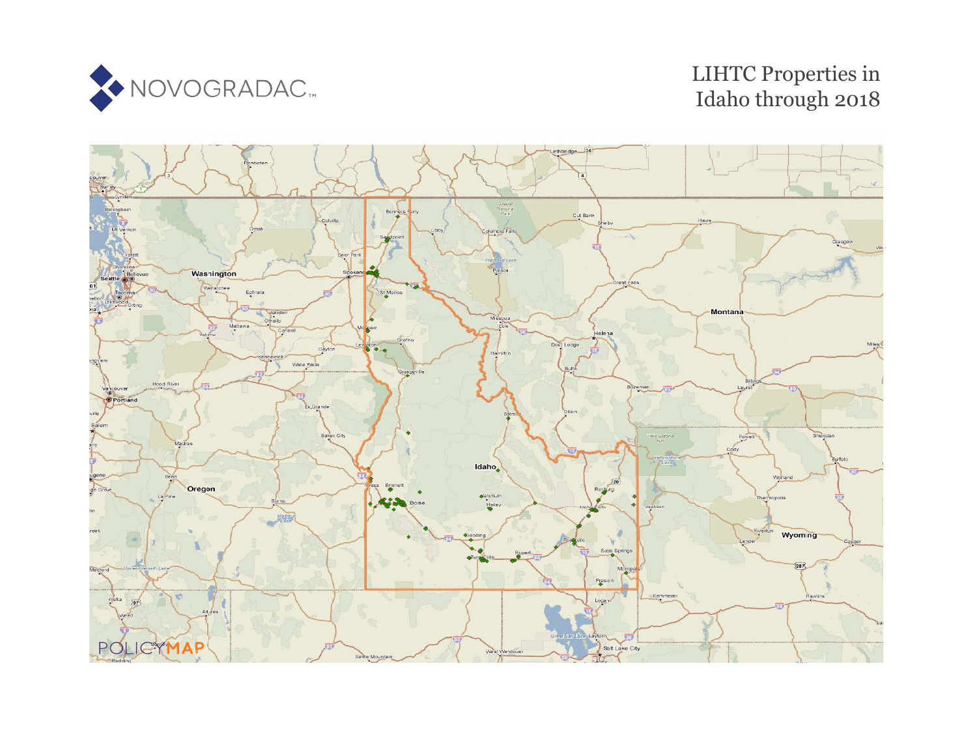

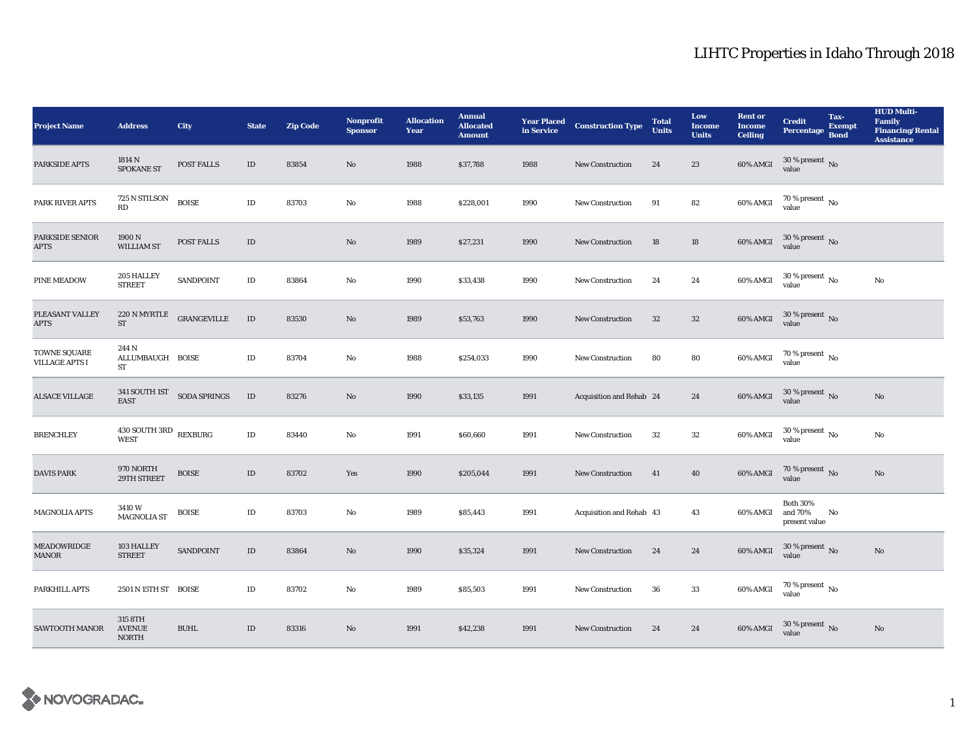| <b>Project Name</b>                   | <b>Address</b>                                | City         | <b>State</b> | <b>Zip Code</b> | <b>Nonprofit</b><br><b>Sponsor</b> | <b>Allocation</b><br>Year | <b>Annual</b><br><b>Allocated</b><br><b>Amount</b> | <b>Year Placed<br/>in Service</b> | <b>Construction Type</b> | <b>Total</b><br><b>Units</b> | Low<br><b>Income</b><br><b>Units</b> | <b>Rent or</b><br><b>Income</b><br><b>Ceiling</b> | <b>Credit</b><br>Percentage Bond            | Tax-<br><b>Exempt</b> | <b>HUD Multi-</b><br>Family<br><b>Financing/Rental</b><br><b>Assistance</b> |
|---------------------------------------|-----------------------------------------------|--------------|--------------|-----------------|------------------------------------|---------------------------|----------------------------------------------------|-----------------------------------|--------------------------|------------------------------|--------------------------------------|---------------------------------------------------|---------------------------------------------|-----------------------|-----------------------------------------------------------------------------|
| <b>PARKSIDE APTS</b>                  | 1814 N<br><b>SPOKANE ST</b>                   | POST FALLS   | $\rm ID$     | 83854           | No                                 | 1988                      | \$37,788                                           | 1988                              | <b>New Construction</b>  | 24                           | 23                                   | 60% AMGI                                          | $30$ % present $\,$ No value                |                       |                                                                             |
| PARK RIVER APTS                       | 725 N STILSON<br>RD                           | <b>BOISE</b> | $\rm ID$     | 83703           | No                                 | 1988                      | \$228,001                                          | 1990                              | New Construction         | 91                           | 82                                   | 60% AMGI                                          | $70$ % present $\,$ No value                |                       |                                                                             |
| <b>PARKSIDE SENIOR</b><br><b>APTS</b> | 1900 N<br>WILLIAM ST                          | POST FALLS   | $\rm ID$     |                 | No                                 | 1989                      | \$27,231                                           | 1990                              | <b>New Construction</b>  | 18                           | 18                                   | 60% AMGI                                          | $30\,\%$ present $\,$ No value              |                       |                                                                             |
| <b>PINE MEADOW</b>                    | 205 HALLEY<br><b>STREET</b>                   | SANDPOINT    | $\rm ID$     | 83864           | No                                 | 1990                      | \$33,438                                           | 1990                              | <b>New Construction</b>  | 24                           | 24                                   | 60% AMGI                                          | $30\,\%$ present $\,$ No $\,$<br>value      |                       | No                                                                          |
| PLEASANT VALLEY<br><b>APTS</b>        | 220 N MYRTLE<br>ST                            | GRANGEVILLE  | $\;$ ID      | 83530           | No                                 | 1989                      | \$53,763                                           | 1990                              | <b>New Construction</b>  | $32\,$                       | $32\phantom{.0}$                     | <b>60% AMGI</b>                                   | $30\,\%$ present $\,$ No value              |                       |                                                                             |
| TOWNE SQUARE<br><b>VILLAGE APTS I</b> | 244 N<br>ALLUMBAUGH BOISE<br>ST               |              | $\rm ID$     | 83704           | No                                 | 1988                      | \$254,033                                          | 1990                              | <b>New Construction</b>  | 80                           | 80                                   | 60% AMGI                                          | $70\,\%$ present $\,$ No value              |                       |                                                                             |
| <b>ALSACE VILLAGE</b>                 | 341 SOUTH 1ST SODA SPRINGS<br><b>EAST</b>     |              | ID           | 83276           | No                                 | 1990                      | \$33,135                                           | 1991                              | Acquisition and Rehab 24 |                              | 24                                   | 60% AMGI                                          | $30\,\%$ present $\,$ No value              |                       | No                                                                          |
| <b>BRENCHLEY</b>                      | $430$ SOUTH $3\mathrm{RD}$ $$\text{REXBURG}$$ |              | $\rm ID$     | 83440           | No                                 | 1991                      | \$60,660                                           | 1991                              | <b>New Construction</b>  | 32                           | 32                                   | $60\%$ AMGI                                       | $30\,\%$ present $\,$ No value              |                       | No                                                                          |
| <b>DAVIS PARK</b>                     | 970 NORTH<br>29TH STREET                      | <b>BOISE</b> | $\rm ID$     | 83702           | Yes                                | 1990                      | \$205,044                                          | 1991                              | <b>New Construction</b>  | 41                           | $40\,$                               | 60% AMGI                                          | $70\,\%$ present $\,$ No value              |                       | No                                                                          |
| <b>MAGNOLIA APTS</b>                  | 3410W<br><b>MAGNOLIA ST</b>                   | <b>BOISE</b> | $\rm ID$     | 83703           | No                                 | 1989                      | \$85,443                                           | 1991                              | Acquisition and Rehab 43 |                              | 43                                   | 60% AMGI                                          | <b>Both 30%</b><br>and 70%<br>present value | No                    |                                                                             |
| <b>MEADOWRIDGE</b><br><b>MANOR</b>    | 103 HALLEY<br><b>STREET</b>                   | SANDPOINT    | $\rm ID$     | 83864           | No                                 | 1990                      | \$35,324                                           | 1991                              | New Construction         | 24                           | 24                                   | 60% AMGI                                          | $30$ % present $\,$ No value                |                       | $\mathbf{N}\mathbf{o}$                                                      |
| PARKHILL APTS                         | 2501 N 15TH ST BOISE                          |              | $\rm ID$     | 83702           | No                                 | 1989                      | \$85,503                                           | 1991                              | <b>New Construction</b>  | 36                           | 33                                   | 60% AMGI                                          | $70$ % present $\,$ No value                |                       |                                                                             |
| <b>SAWTOOTH MANOR</b>                 | 315 8TH<br><b>AVENUE</b><br><b>NORTH</b>      | <b>BUHL</b>  | $\rm ID$     | 83316           | No                                 | 1991                      | \$42,238                                           | 1991                              | <b>New Construction</b>  | 24                           | 24                                   | 60% AMGI                                          | $30$ % present $\,$ No value                |                       | No                                                                          |

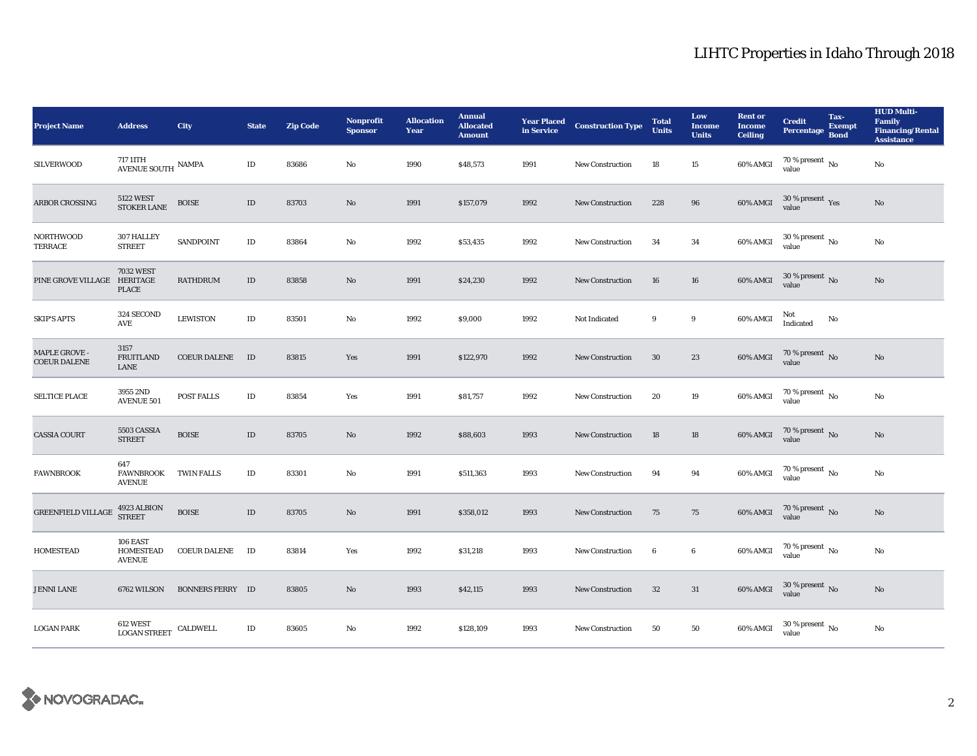| <b>Project Name</b>                  | <b>Address</b>                                                  | City                    | <b>State</b> | <b>Zip Code</b> | <b>Nonprofit</b><br><b>Sponsor</b> | <b>Allocation</b><br>Year | <b>Annual</b><br><b>Allocated</b><br><b>Amount</b> | <b>Year Placed<br/>in Service</b> | <b>Construction Type</b> | <b>Total</b><br>Units | Low<br><b>Income</b><br><b>Units</b> | <b>Rent or</b><br><b>Income</b><br><b>Ceiling</b> | <b>Credit</b><br>Percentage Bond     | Tax-<br><b>Exempt</b> | <b>HUD Multi-</b><br>Family<br><b>Financing/Rental</b><br><b>Assistance</b> |
|--------------------------------------|-----------------------------------------------------------------|-------------------------|--------------|-----------------|------------------------------------|---------------------------|----------------------------------------------------|-----------------------------------|--------------------------|-----------------------|--------------------------------------|---------------------------------------------------|--------------------------------------|-----------------------|-----------------------------------------------------------------------------|
| <b>SILVERWOOD</b>                    | 717 11TH<br>$\overline{\operatorname{AVENUE}}$ SOUTH $\,$ NAMPA |                         | $\rm ID$     | 83686           | No                                 | 1990                      | \$48,573                                           | 1991                              | <b>New Construction</b>  | 18                    | 15                                   | 60% AMGI                                          | $70$ % present $\,$ No $\,$<br>value |                       | No                                                                          |
| ARBOR CROSSING                       | 5122 WEST<br>STOKER LANE                                        | <b>BOISE</b>            | $\rm ID$     | 83703           | No                                 | 1991                      | \$157,079                                          | 1992                              | New Construction         | 228                   | 96                                   | $60\%$ AMGI                                       | $30\,\%$ present $\,$ Yes value      |                       | $\mathbf{N}\mathbf{o}$                                                      |
| <b>NORTHWOOD</b><br>TERRACE          | 307 HALLEY<br><b>STREET</b>                                     | <b>SANDPOINT</b>        | $\rm ID$     | 83864           | $\mathbf{No}$                      | 1992                      | \$53,435                                           | 1992                              | <b>New Construction</b>  | 34                    | 34                                   | 60% AMGI                                          | $30$ % present $\,$ No value         |                       | No                                                                          |
| PINE GROVE VILLAGE HERITAGE          | <b>7032 WEST</b><br><b>PLACE</b>                                | <b>RATHDRUM</b>         | $\rm ID$     | 83858           | $\mathbf{No}$                      | 1991                      | \$24,230                                           | 1992                              | New Construction         | 16                    | 16                                   | 60% AMGI                                          | $30\,\%$ present $\,$ No value       |                       | $\mathbf{N}\mathbf{o}$                                                      |
| <b>SKIP'S APTS</b>                   | 324 SECOND<br>AVE                                               | <b>LEWISTON</b>         | $\rm ID$     | 83501           | No                                 | 1992                      | \$9,000                                            | 1992                              | Not Indicated            | 9                     | $\boldsymbol{9}$                     | 60% AMGI                                          | Not<br>Indicated                     | No                    |                                                                             |
| MAPLE GROVE -<br><b>COEUR DALENE</b> | 3157<br><b>FRUITLAND</b><br>LANE                                | <b>COEUR DALENE</b>     | ID           | 83815           | Yes                                | 1991                      | \$122,970                                          | 1992                              | <b>New Construction</b>  | 30                    | 23                                   | 60% AMGI                                          | $70\,\%$ present $\,$ No value       |                       | No                                                                          |
| <b>SELTICE PLACE</b>                 | 3955 2ND<br><b>AVENUE 501</b>                                   | <b>POST FALLS</b>       | $\rm ID$     | 83854           | Yes                                | 1991                      | \$81,757                                           | 1992                              | <b>New Construction</b>  | 20                    | 19                                   | 60% AMGI                                          | $70$ % present $\,$ No value         |                       | No                                                                          |
| <b>CASSIA COURT</b>                  | 5503 CASSIA<br><b>STREET</b>                                    | <b>BOISE</b>            | $\rm ID$     | 83705           | $\mathbf{N}\mathbf{o}$             | 1992                      | \$88,603                                           | 1993                              | New Construction         | 18                    | 18                                   | 60% AMGI                                          | $70$ % present $\,$ No value         |                       | No                                                                          |
| <b>FAWNBROOK</b>                     | 647<br><b>FAWNBROOK</b><br><b>AVENUE</b>                        | <b>TWIN FALLS</b>       | ID           | 83301           | No                                 | 1991                      | \$511,363                                          | 1993                              | <b>New Construction</b>  | 94                    | 94                                   | 60% AMGI                                          | $70$ % present $\,$ No value         |                       | No                                                                          |
| <b>GREENFIELD VILLAGE</b>            | 4923 ALBION<br>STREET                                           | <b>BOISE</b>            | ID           | 83705           | No                                 | 1991                      | \$358,012                                          | 1993                              | <b>New Construction</b>  | 75                    | 75                                   | <b>60% AMGI</b>                                   | $70\,\%$ present $\,$ No value       |                       | No                                                                          |
| <b>HOMESTEAD</b>                     | 106 EAST<br>HOMESTEAD<br><b>AVENUE</b>                          | <b>COEUR DALENE</b>     | ID           | 83814           | Yes                                | 1992                      | \$31,218                                           | 1993                              | New Construction         | $\boldsymbol{6}$      | $\bf{6}$                             | 60% AMGI                                          | $70\,\%$ present $\,$ No value       |                       | No                                                                          |
| <b>JENNI LANE</b>                    | 6762 WILSON                                                     | <b>BONNERS FERRY ID</b> |              | 83805           | No                                 | 1993                      | \$42,115                                           | 1993                              | New Construction         | 32                    | 31                                   | $60\%$ AMGI                                       | $30\,\%$ present $\,$ No value       |                       | No                                                                          |
| <b>LOGAN PARK</b>                    | $612$ WEST $$\sf CALDWELL$$ LOGAN STREET $$\sf CALDWELL$$       |                         | $\rm ID$     | 83605           | $\mathbf{No}$                      | 1992                      | \$128,109                                          | 1993                              | <b>New Construction</b>  | 50                    | 50                                   | 60% AMGI                                          | $30\,\%$ present $\,$ No value       |                       | No                                                                          |

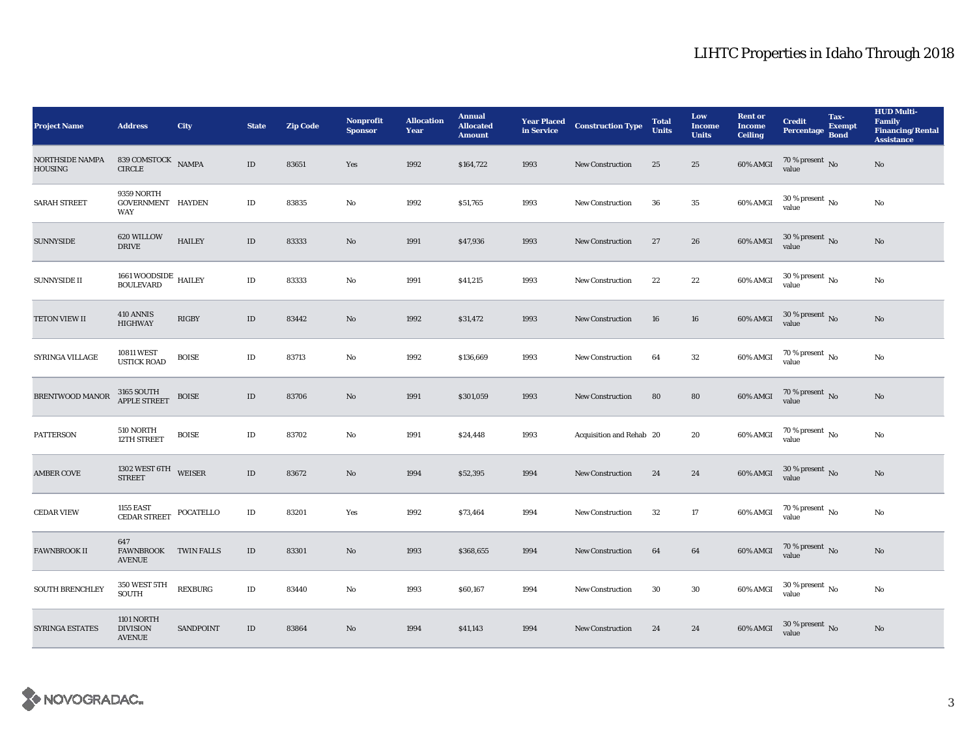| <b>Project Name</b>                      | <b>Address</b>                                       | City             | <b>State</b> | <b>Zip Code</b> | <b>Nonprofit</b><br><b>Sponsor</b> | <b>Allocation</b><br>Year | <b>Annual</b><br><b>Allocated</b><br><b>Amount</b> | <b>Year Placed<br/>in Service</b> | <b>Construction Type</b> | <b>Total</b><br><b>Units</b> | Low<br><b>Income</b><br><b>Units</b> | <b>Rent or</b><br><b>Income</b><br><b>Ceiling</b> | <b>Credit</b><br>Percentage Bond   | Tax-<br>Exempt | <b>HUD Multi-</b><br><b>Family</b><br><b>Financing/Rental</b><br><b>Assistance</b> |
|------------------------------------------|------------------------------------------------------|------------------|--------------|-----------------|------------------------------------|---------------------------|----------------------------------------------------|-----------------------------------|--------------------------|------------------------------|--------------------------------------|---------------------------------------------------|------------------------------------|----------------|------------------------------------------------------------------------------------|
| <b>NORTHSIDE NAMPA</b><br><b>HOUSING</b> | 839 COMSTOCK NAMPA<br>$\ensuremath{\mathsf{CIRCLE}}$ |                  | $\rm ID$     | 83651           | Yes                                | 1992                      | \$164,722                                          | 1993                              | <b>New Construction</b>  | 25                           | 25                                   | 60% AMGI                                          | 70 % present No<br>value           |                | No                                                                                 |
| <b>SARAH STREET</b>                      | 9359 NORTH<br>GOVERNMENT HAYDEN<br><b>WAY</b>        |                  | $\rm ID$     | 83835           | No                                 | 1992                      | \$51,765                                           | 1993                              | New Construction         | 36                           | 35                                   | 60% AMGI                                          | $30$ % present $\,$ No value       |                | No                                                                                 |
| <b>SUNNYSIDE</b>                         | 620 WILLOW<br><b>DRIVE</b>                           | <b>HAILEY</b>    | $\rm ID$     | 83333           | $\mathbf{No}$                      | 1991                      | \$47,936                                           | 1993                              | <b>New Construction</b>  | 27                           | 26                                   | 60% AMGI                                          | $30$ % present $\,$ No value       |                | $\rm No$                                                                           |
| <b>SUNNYSIDE II</b>                      | $1661\,$ WOODSIDE $\,$ HAILEY BOULEVARD              |                  | $\rm ID$     | 83333           | No                                 | 1991                      | \$41,215                                           | 1993                              | <b>New Construction</b>  | 22                           | $\bf{22}$                            | 60% AMGI                                          | 30 % present $\,$ No $\,$<br>value |                | No                                                                                 |
| TETON VIEW II                            | 410 ANNIS<br><b>HIGHWAY</b>                          | RIGBY            | $\rm ID$     | 83442           | $\mathbf{N}\mathbf{o}$             | 1992                      | \$31,472                                           | 1993                              | New Construction         | 16                           | 16                                   | 60% AMGI                                          | $30\,\%$ present $\,$ No value     |                | $\rm No$                                                                           |
| SYRINGA VILLAGE                          | <b>10811 WEST</b><br><b>USTICK ROAD</b>              | <b>BOISE</b>     | $\rm ID$     | 83713           | No                                 | 1992                      | \$136,669                                          | 1993                              | <b>New Construction</b>  | 64                           | $32\,$                               | $60\%$ AMGI                                       | $70$ % present $\,$ No value       |                | No                                                                                 |
| BRENTWOOD MANOR                          | 3165 SOUTH<br>APPLE STREET                           | <b>BOISE</b>     | $\rm ID$     | 83706           | $\mathbf{N}\mathbf{o}$             | 1991                      | \$301,059                                          | 1993                              | New Construction         | 80                           | 80                                   | $60\%$ AMGI                                       | $70$ % present $\,$ No value       |                | $\mathbf{N}\mathbf{o}$                                                             |
| <b>PATTERSON</b>                         | 510 NORTH<br>12TH STREET                             | <b>BOISE</b>     | $\rm ID$     | 83702           | No                                 | 1991                      | \$24,448                                           | 1993                              | Acquisition and Rehab 20 |                              | 20                                   | 60% AMGI                                          | $70$ % present $\,$ No value       |                | $\rm No$                                                                           |
| <b>AMBER COVE</b>                        | 1302 WEST 6TH WEISER<br><b>STREET</b>                |                  | $\rm ID$     | 83672           | $\mathbf{N}\mathbf{o}$             | 1994                      | \$52,395                                           | 1994                              | <b>New Construction</b>  | 24                           | $\bf 24$                             | 60% AMGI                                          | $30\,\%$ present $\,$ No value     |                | $\mathbf{No}$                                                                      |
| <b>CEDAR VIEW</b>                        | 1155 EAST<br><b>CEDAR STREET</b>                     | POCATELLO        | $\rm ID$     | 83201           | Yes                                | 1992                      | \$73,464                                           | 1994                              | New Construction         | $32\,$                       | 17                                   | 60% AMGI                                          | $70\,\%$ present $\,$ No value     |                | $\rm No$                                                                           |
| <b>FAWNBROOK II</b>                      | 647<br>FAWNBROOK TWIN FALLS<br><b>AVENUE</b>         |                  | $\rm ID$     | 83301           | No                                 | 1993                      | \$368,655                                          | 1994                              | New Construction         | 64                           | 64                                   | 60% AMGI                                          | $70\,\%$ present $\,$ No value     |                | No                                                                                 |
| <b>SOUTH BRENCHLEY</b>                   | $350\,\mathrm{WEST}$ $5\mathrm{TH}$<br><b>SOUTH</b>  | <b>REXBURG</b>   | $\rm ID$     | 83440           | No                                 | 1993                      | \$60,167                                           | 1994                              | <b>New Construction</b>  | 30                           | 30                                   | 60% AMGI                                          | $30\,\%$ present $\,$ No value     |                | No                                                                                 |
| <b>SYRINGA ESTATES</b>                   | 1101 NORTH<br><b>DIVISION</b><br><b>AVENUE</b>       | <b>SANDPOINT</b> | $\rm ID$     | 83864           | $\mathbf{No}$                      | 1994                      | \$41,143                                           | 1994                              | <b>New Construction</b>  | 24                           | 24                                   | 60% AMGI                                          | $30\,\%$ present $\,$ No value     |                | $\mathbf{No}$                                                                      |

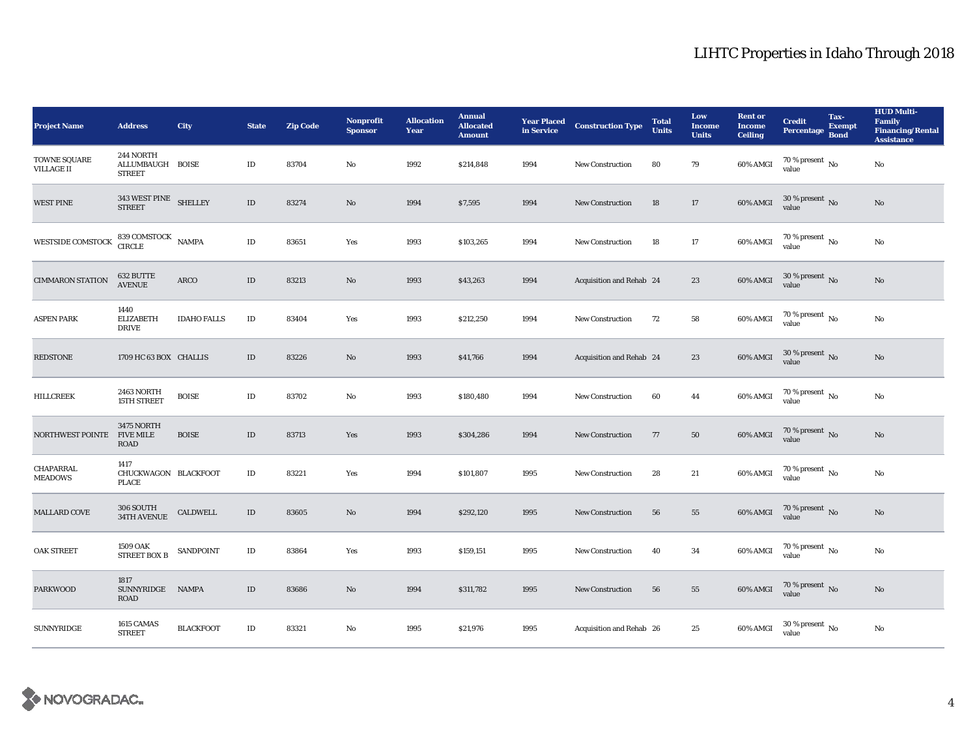| <b>Project Name</b>               | <b>Address</b>                                     | City               | <b>State</b> | <b>Zip Code</b> | <b>Nonprofit</b><br><b>Sponsor</b> | <b>Allocation</b><br>Year | <b>Annual</b><br><b>Allocated</b><br><b>Amount</b> | <b>Year Placed<br/>in Service</b> | <b>Construction Type</b> | <b>Total</b><br><b>Units</b> | Low<br><b>Income</b><br><b>Units</b> | <b>Rent or</b><br><b>Income</b><br><b>Ceiling</b> | <b>Credit</b><br><b>Percentage</b>     | Tax-<br><b>Exempt</b><br><b>Bond</b> | <b>HUD Multi-</b><br>Family<br><b>Financing/Rental</b><br><b>Assistance</b> |
|-----------------------------------|----------------------------------------------------|--------------------|--------------|-----------------|------------------------------------|---------------------------|----------------------------------------------------|-----------------------------------|--------------------------|------------------------------|--------------------------------------|---------------------------------------------------|----------------------------------------|--------------------------------------|-----------------------------------------------------------------------------|
| TOWNE SQUARE<br><b>VILLAGE II</b> | 244 NORTH<br>ALLUMBAUGH BOISE<br><b>STREET</b>     |                    | $\rm ID$     | 83704           | No                                 | 1992                      | \$214,848                                          | 1994                              | New Construction         | 80                           | 79                                   | 60% AMGI                                          | $70$ % present $\,$ No $\,$<br>value   |                                      | $\mathbf{No}$                                                               |
| <b>WEST PINE</b>                  | $343\, \, \rm{WEST}$ $\,$ PINE $\,$ SHELLEY STREET |                    | $\rm ID$     | 83274           | No                                 | 1994                      | \$7,595                                            | 1994                              | <b>New Construction</b>  | 18                           | 17                                   | 60% AMGI                                          | $30$ % present $\,$ No value           |                                      | No                                                                          |
| WESTSIDE COMSTOCK                 | $839$ COMSTOCK $\quad$ NAMPA CIRCLE                |                    | $\rm ID$     | 83651           | Yes                                | 1993                      | \$103,265                                          | 1994                              | <b>New Construction</b>  | 18                           | $17\,$                               | 60% AMGI                                          | $70$ % present $_{\rm{No}}$            |                                      | No                                                                          |
| <b>CIMMARON STATION</b>           | 632 BUTTE<br><b>AVENUE</b>                         | ARCO               | $\rm ID$     | 83213           | $\mathbf{No}$                      | 1993                      | \$43,263                                           | 1994                              | Acquisition and Rehab 24 |                              | 23                                   | 60% AMGI                                          | $30\,\%$ present $\,$ No value         |                                      | No                                                                          |
| <b>ASPEN PARK</b>                 | 1440<br><b>ELIZABETH</b><br><b>DRIVE</b>           | <b>IDAHO FALLS</b> | $\rm ID$     | 83404           | Yes                                | 1993                      | \$212,250                                          | 1994                              | <b>New Construction</b>  | 72                           | 58                                   | 60% AMGI                                          | $70$ % present $\,$ No $\,$<br>value   |                                      | No                                                                          |
| <b>REDSTONE</b>                   | 1709 HC 63 BOX CHALLIS                             |                    | $\rm ID$     | 83226           | $\mathbf{No}$                      | 1993                      | \$41,766                                           | 1994                              | Acquisition and Rehab 24 |                              | 23                                   | 60% AMGI                                          | $30\,\%$ present $\,$ No value         |                                      | No                                                                          |
| <b>HILLCREEK</b>                  | 2463 NORTH<br>15TH STREET                          | <b>BOISE</b>       | $\rm ID$     | 83702           | No                                 | 1993                      | \$180,480                                          | 1994                              | <b>New Construction</b>  | 60                           | 44                                   | 60% AMGI                                          | $70$ % present $\,$ No value           |                                      | $_{\rm No}$                                                                 |
| NORTHWEST POINTE FIVE MILE        | <b>3475 NORTH</b><br>ROAD                          | <b>BOISE</b>       | $\rm ID$     | 83713           | Yes                                | 1993                      | \$304,286                                          | 1994                              | New Construction         | 77                           | 50                                   | 60% AMGI                                          | $70$ % present $\,$ No $\,$ value $\,$ |                                      | No                                                                          |
| CHAPARRAL<br><b>MEADOWS</b>       | 1417<br>CHUCKWAGON BLACKFOOT<br><b>PLACE</b>       |                    | $\rm ID$     | 83221           | Yes                                | 1994                      | \$101,807                                          | 1995                              | New Construction         | 28                           | 21                                   | 60% AMGI                                          | $70$ % present $_{\rm{No}}$            |                                      | No                                                                          |
| MALLARD COVE                      | 306 SOUTH<br>34TH AVENUE                           | CALDWELL           | $\rm ID$     | 83605           | $\mathbf{No}$                      | 1994                      | \$292,120                                          | 1995                              | <b>New Construction</b>  | 56                           | 55                                   | 60% AMGI                                          | $70\,\%$ present $_{\rm{No}}$          |                                      | No                                                                          |
| <b>OAK STREET</b>                 | 1509 OAK<br>STREET BOX B                           | SANDPOINT          | $\rm ID$     | 83864           | Yes                                | 1993                      | \$159,151                                          | 1995                              | <b>New Construction</b>  | 40                           | 34                                   | 60% AMGI                                          | $70\,\%$ present $_{\rm{No}}$          |                                      | No                                                                          |
| <b>PARKWOOD</b>                   | 1817<br>SUNNYRIDGE<br>ROAD                         | <b>NAMPA</b>       | $\rm ID$     | 83686           | No                                 | 1994                      | \$311,782                                          | 1995                              | New Construction         | 56                           | 55                                   | 60% AMGI                                          | $70\,\%$ present $\,$ No value         |                                      | No                                                                          |
| <b>SUNNYRIDGE</b>                 | 1615 CAMAS<br><b>STREET</b>                        | <b>BLACKFOOT</b>   | $\rm ID$     | 83321           | $\mathbf{No}$                      | 1995                      | \$21,976                                           | 1995                              | Acquisition and Rehab 26 |                              | 25                                   | 60% AMGI                                          | $30\,\%$ present $_{\rm{No}}$          |                                      | No                                                                          |

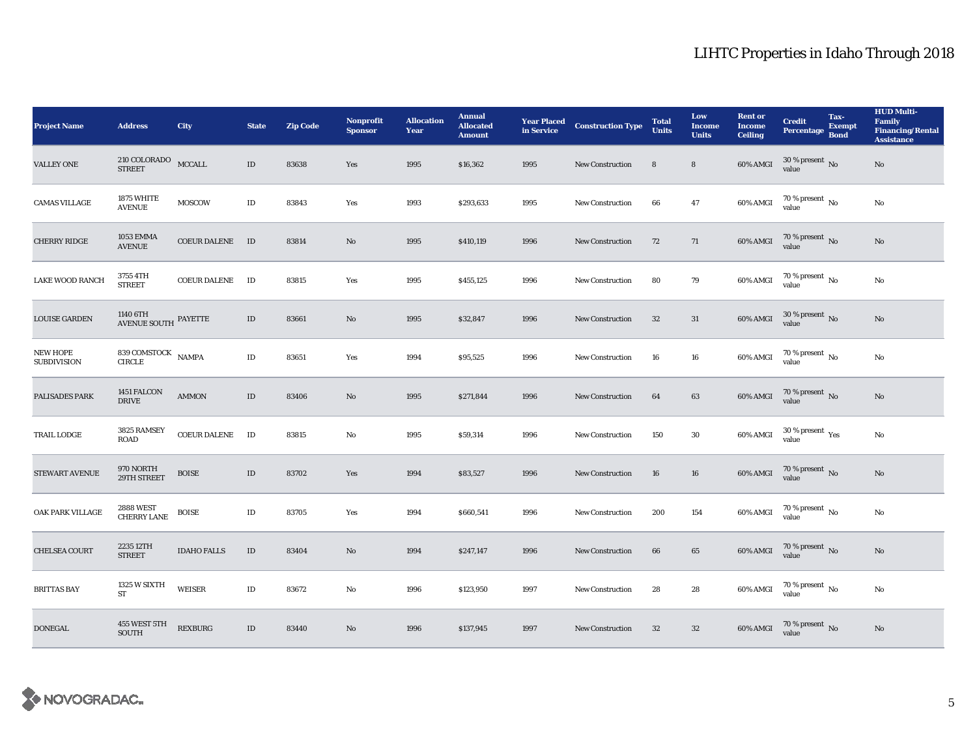| <b>Project Name</b>                   | <b>Address</b>                                   | <b>City</b>         | <b>State</b> | <b>Zip Code</b> | Nonprofit<br><b>Sponsor</b> | <b>Allocation</b><br>Year | <b>Annual</b><br><b>Allocated</b><br><b>Amount</b> | <b>Year Placed<br/>in Service</b> | <b>Construction Type</b> | <b>Total</b><br><b>Units</b> | Low<br><b>Income</b><br><b>Units</b> | <b>Rent or</b><br><b>Income</b><br>Ceiling | <b>Credit</b><br>Percentage Bond        | Tax-<br>Exempt | <b>HUD Multi-</b><br>Family<br><b>Financing/Rental</b><br><b>Assistance</b> |
|---------------------------------------|--------------------------------------------------|---------------------|--------------|-----------------|-----------------------------|---------------------------|----------------------------------------------------|-----------------------------------|--------------------------|------------------------------|--------------------------------------|--------------------------------------------|-----------------------------------------|----------------|-----------------------------------------------------------------------------|
| <b>VALLEY ONE</b>                     | $210$ COLORADO $$\tt MCCALL$<br><b>STREET</b>    |                     | $\rm ID$     | 83638           | Yes                         | 1995                      | \$16,362                                           | 1995                              | New Construction         | 8                            | ${\bf 8}$                            | $60\%$ AMGI                                | $30$ % present $\,$ No value            |                | $\mathbf{N}\mathbf{o}$                                                      |
| <b>CAMAS VILLAGE</b>                  | 1875 WHITE<br><b>AVENUE</b>                      | <b>MOSCOW</b>       | $\rm ID$     | 83843           | Yes                         | 1993                      | \$293,633                                          | 1995                              | New Construction         | 66                           | 47                                   | 60% AMGI                                   | $70\%$ present No<br>value              |                | No                                                                          |
| <b>CHERRY RIDGE</b>                   | <b>1053 EMMA</b><br><b>AVENUE</b>                | <b>COEUR DALENE</b> | ID           | 83814           | $\mathbf{No}$               | 1995                      | \$410,119                                          | 1996                              | <b>New Construction</b>  | 72                           | 71                                   | 60% AMGI                                   | $70\,\%$ present $\,$ No value          |                | $\rm No$                                                                    |
| <b>LAKE WOOD RANCH</b>                | 3755 4TH<br><b>STREET</b>                        | <b>COEUR DALENE</b> | ID           | 83815           | Yes                         | 1995                      | \$455,125                                          | 1996                              | New Construction         | 80                           | 79                                   | 60% AMGI                                   | $70$ % present $\,$ No $\,$<br>value    |                | No                                                                          |
| <b>LOUISE GARDEN</b>                  | $1140$ $6\mathrm{TH}$ $$\,$ PAYETTE AVENUE SOUTH |                     | $\rm ID$     | 83661           | No                          | 1995                      | \$32,847                                           | 1996                              | <b>New Construction</b>  | 32                           | 31                                   | 60% AMGI                                   | $30\,\%$ present $\,$ No value          |                | $\mathbf{No}$                                                               |
| <b>NEW HOPE</b><br><b>SUBDIVISION</b> | $839$ COMSTOCK $\quad$ NAMPA CIRCLE              |                     | $\rm ID$     | 83651           | Yes                         | 1994                      | \$95,525                                           | 1996                              | New Construction         | 16                           | 16                                   | 60% AMGI                                   | $70\,\%$ present $\,$ No value          |                | No                                                                          |
| PALISADES PARK                        | 1451 FALCON<br><b>DRIVE</b>                      | <b>AMMON</b>        | $\rm ID$     | 83406           | $\mathbf{N}\mathbf{o}$      | 1995                      | \$271,844                                          | 1996                              | New Construction         | 64                           | $\bf{63}$                            | $60\%$ AMGI                                | $70$ % present $_{\rm{No}}$             |                | $\rm No$                                                                    |
| TRAIL LODGE                           | 3825 RAMSEY<br><b>ROAD</b>                       | <b>COEUR DALENE</b> | ID           | 83815           | No                          | 1995                      | \$59,314                                           | 1996                              | New Construction         | 150                          | 30                                   | $60\%$ AMGI                                | $30\,\%$ present $\,\mathrm{Yes}$ value |                | No                                                                          |
| STEWART AVENUE                        | 970 NORTH<br>29TH STREET                         | <b>BOISE</b>        | $\rm ID$     | 83702           | Yes                         | 1994                      | \$83,527                                           | 1996                              | New Construction         | 16                           | 16                                   | 60% AMGI                                   | $70$ % present $\,$ No value            |                | $\mathbf{No}$                                                               |
| OAK PARK VILLAGE                      | 2888 WEST<br>CHERRY LANE                         | <b>BOISE</b>        | $\rm ID$     | 83705           | Yes                         | 1994                      | \$660,541                                          | 1996                              | New Construction         | 200                          | 154                                  | 60% AMGI                                   | $70\,\%$ present $\,$ No value          |                | No                                                                          |
| <b>CHELSEA COURT</b>                  | 2235 12TH<br><b>STREET</b>                       | <b>IDAHO FALLS</b>  | ID           | 83404           | No                          | 1994                      | \$247,147                                          | 1996                              | New Construction         | 66                           | 65                                   |                                            | 60% AMGI 70 % present No                |                | $\mathbf{No}$                                                               |
| <b>BRITTAS BAY</b>                    | 1325 W SIXTH<br>${\rm ST}$                       | <b>WEISER</b>       | $\rm ID$     | 83672           | No                          | 1996                      | \$123,950                                          | 1997                              | <b>New Construction</b>  | 28                           | 28                                   | 60% AMGI                                   | $70\,\%$ present $\,$ No value          |                | No                                                                          |
| <b>DONEGAL</b>                        | 455 WEST 5TH<br><b>SOUTH</b>                     | <b>REXBURG</b>      | ID           | 83440           | No                          | 1996                      | \$137,945                                          | 1997                              | <b>New Construction</b>  | 32                           | 32                                   | 60% AMGI                                   | $70\,\%$ present $_{\rm{No}}$           |                | $\mathbf{No}$                                                               |

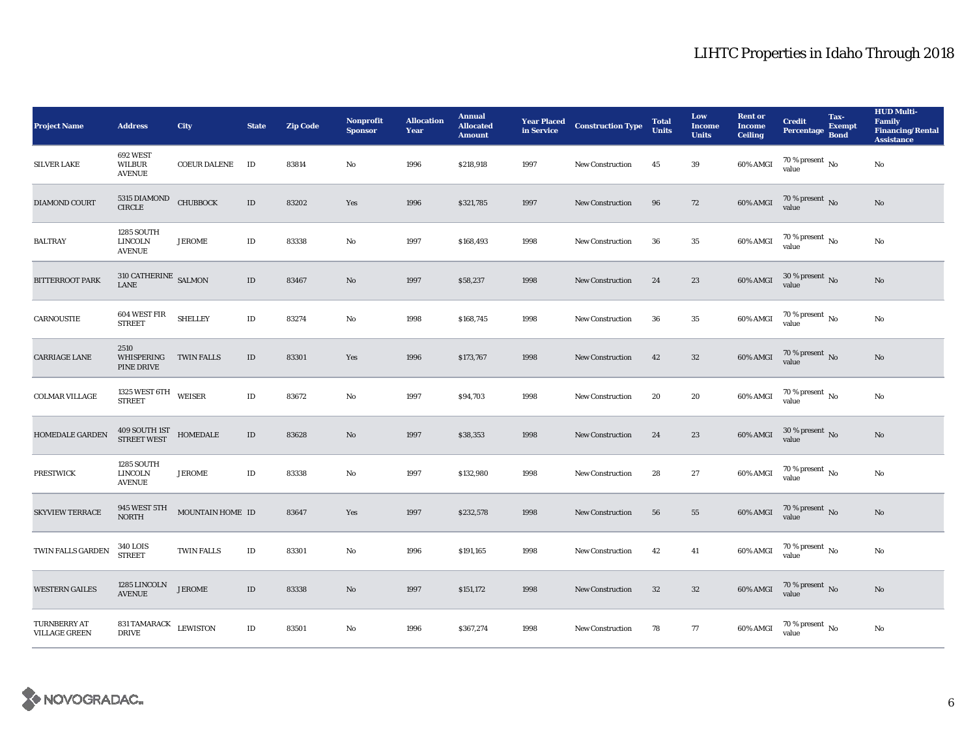| <b>Project Name</b>                         | <b>Address</b>                                       | City                | <b>State</b> | <b>Zip Code</b> | <b>Nonprofit</b><br><b>Sponsor</b> | <b>Allocation</b><br>Year | <b>Annual</b><br><b>Allocated</b><br><b>Amount</b> | <b>Year Placed<br/>in Service</b> | <b>Construction Type</b> | <b>Total</b><br><b>Units</b> | Low<br><b>Income</b><br><b>Units</b> | <b>Rent or</b><br><b>Income</b><br><b>Ceiling</b> | <b>Credit</b><br>Percentage          | Tax-<br><b>Exempt</b><br><b>Bond</b> | <b>HUD Multi-</b><br>Family<br><b>Financing/Rental</b><br><b>Assistance</b> |
|---------------------------------------------|------------------------------------------------------|---------------------|--------------|-----------------|------------------------------------|---------------------------|----------------------------------------------------|-----------------------------------|--------------------------|------------------------------|--------------------------------------|---------------------------------------------------|--------------------------------------|--------------------------------------|-----------------------------------------------------------------------------|
| <b>SILVER LAKE</b>                          | 692 WEST<br><b>WILBUR</b><br><b>AVENUE</b>           | <b>COEUR DALENE</b> | ID           | 83814           | No                                 | 1996                      | \$218,918                                          | 1997                              | <b>New Construction</b>  | 45                           | 39                                   | 60% AMGI                                          | $70$ % present $\,$ No $\,$<br>value |                                      | $\mathbf{No}$                                                               |
| DIAMOND COURT                               | 5315 DIAMOND<br>CIRCLE                               | <b>CHUBBOCK</b>     | $\rm ID$     | 83202           | Yes                                | 1996                      | \$321,785                                          | 1997                              | <b>New Construction</b>  | 96                           | 72                                   | $60\%$ AMGI                                       | $70$ % present $\,$ No value         |                                      | No                                                                          |
| <b>BALTRAY</b>                              | 1285 SOUTH<br><b>LINCOLN</b><br><b>AVENUE</b>        | <b>JEROME</b>       | $\rm ID$     | 83338           | No                                 | 1997                      | \$168,493                                          | 1998                              | <b>New Construction</b>  | 36                           | $\bf 35$                             | 60% AMGI                                          | $70$ % present $_{\rm{No}}$          |                                      | No                                                                          |
| <b>BITTERROOT PARK</b>                      | $310$ CATHERINE $\,$ SALMON $\,$<br><b>LANE</b>      |                     | $\rm ID$     | 83467           | $\mathbf{No}$                      | 1997                      | \$58,237                                           | 1998                              | New Construction         | 24                           | 23                                   | 60% AMGI                                          | $30\,\%$ present $\,$ No value       |                                      | No                                                                          |
| CARNOUSTIE                                  | 604 WEST FIR<br><b>STREET</b>                        | <b>SHELLEY</b>      | $\rm ID$     | 83274           | No                                 | 1998                      | \$168,745                                          | 1998                              | New Construction         | 36                           | $\bf 35$                             | 60% AMGI                                          | $70$ % present $_{\rm{No}}$          |                                      | No                                                                          |
| <b>CARRIAGE LANE</b>                        | 2510<br>WHISPERING<br>PINE DRIVE                     | <b>TWIN FALLS</b>   | $\rm ID$     | 83301           | Yes                                | 1996                      | \$173,767                                          | 1998                              | <b>New Construction</b>  | 42                           | 32                                   | 60% AMGI                                          | $70$ % present $_{\rm{No}}$          |                                      | No                                                                          |
| <b>COLMAR VILLAGE</b>                       | 1325 WEST 6TH WEISER<br><b>STREET</b>                |                     | $\rm ID$     | 83672           | No                                 | 1997                      | \$94,703                                           | 1998                              | <b>New Construction</b>  | 20                           | 20                                   | 60% AMGI                                          | $70$ % present $\,$ No value         |                                      | No                                                                          |
| HOMEDALE GARDEN                             | $409$ SOUTH $1ST$ $\quad$ HOMEDALE $STREET$ WEST     |                     | $\rm ID$     | 83628           | $\mathbf{No}$                      | 1997                      | \$38,353                                           | 1998                              | New Construction         | 24                           | 23                                   | 60% AMGI                                          | $30\,\%$ present $\,$ No value       |                                      | No                                                                          |
| <b>PRESTWICK</b>                            | <b>1285 SOUTH</b><br><b>LINCOLN</b><br><b>AVENUE</b> | <b>JEROME</b>       | $\rm ID$     | 83338           | No                                 | 1997                      | \$132,980                                          | 1998                              | New Construction         | 28                           | $\bf 27$                             | 60% AMGI                                          | $70\,\%$ present $_{\rm{No}}$        |                                      | No                                                                          |
| <b>SKYVIEW TERRACE</b>                      | 945 WEST 5TH<br><b>NORTH</b>                         | MOUNTAIN HOME ID    |              | 83647           | Yes                                | 1997                      | \$232,578                                          | 1998                              | <b>New Construction</b>  | 56                           | 55                                   | 60% AMGI                                          | $70\,\%$ present $\,$ No value       |                                      | No                                                                          |
| TWIN FALLS GARDEN                           | <b>340 LOIS</b><br><b>STREET</b>                     | TWIN FALLS          | $\rm ID$     | 83301           | No                                 | 1996                      | \$191,165                                          | 1998                              | New Construction         | 42                           | 41                                   | 60% AMGI                                          | $70\,\%$ present $_{\rm{No}}$        |                                      | No                                                                          |
| <b>WESTERN GAILES</b>                       | 1285 LINCOLN<br><b>AVENUE</b>                        | <b>JEROME</b>       | $\rm ID$     | 83338           | No                                 | 1997                      | \$151,172                                          | 1998                              | <b>New Construction</b>  | 32                           | $32\phantom{.0}$                     | 60% AMGI                                          | $70\,\%$ present $\,$ No value       |                                      | No                                                                          |
| <b>TURNBERRY AT</b><br><b>VILLAGE GREEN</b> | 831 TAMARACK LEWISTON<br><b>DRIVE</b>                |                     | $\rm ID$     | 83501           | No                                 | 1996                      | \$367,274                                          | 1998                              | <b>New Construction</b>  | 78                           | 77                                   | 60% AMGI                                          | $70\,\%$ present $_{\rm{No}}$        |                                      | No                                                                          |

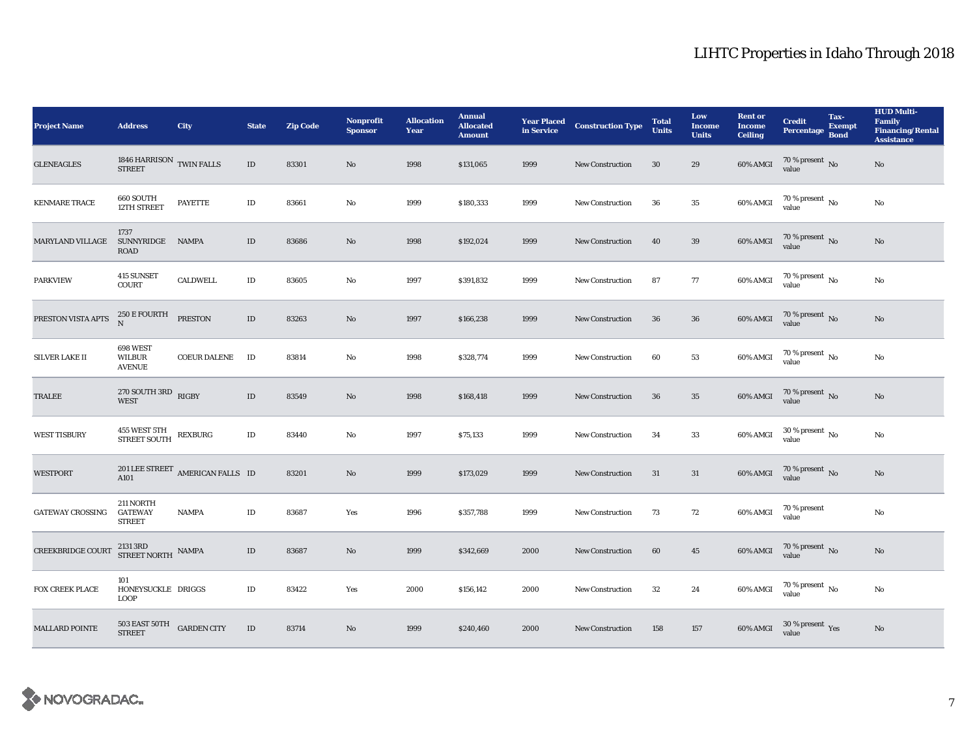| <b>Project Name</b>     | <b>Address</b>                                         | City                             | <b>State</b> | <b>Zip Code</b> | Nonprofit<br><b>Sponsor</b> | <b>Allocation</b><br>Year | <b>Annual</b><br><b>Allocated</b><br><b>Amount</b> | <b>Year Placed<br/>in Service</b> | <b>Construction Type</b> | <b>Total</b><br><b>Units</b> | Low<br><b>Income</b><br><b>Units</b> | <b>Rent or</b><br><b>Income</b><br><b>Ceiling</b> | <b>Credit</b><br>Percentage Bond        | Tax-<br>Exempt | <b>HUD Multi-</b><br>Family<br><b>Financing/Rental</b><br><b>Assistance</b> |
|-------------------------|--------------------------------------------------------|----------------------------------|--------------|-----------------|-----------------------------|---------------------------|----------------------------------------------------|-----------------------------------|--------------------------|------------------------------|--------------------------------------|---------------------------------------------------|-----------------------------------------|----------------|-----------------------------------------------------------------------------|
| <b>GLENEAGLES</b>       | $1846$ HARRISON $\:$ TWIN FALLS $\:$                   |                                  | $\rm ID$     | 83301           | $\mathbf{No}$               | 1998                      | \$131,065                                          | 1999                              | New Construction         | 30                           | 29                                   | 60% AMGI                                          | $70\,\%$ present $\,$ No value          |                | $\mathbf{No}$                                                               |
| <b>KENMARE TRACE</b>    | 660 SOUTH<br>12TH STREET                               | <b>PAYETTE</b>                   | $\rm ID$     | 83661           | No                          | 1999                      | \$180,333                                          | 1999                              | New Construction         | 36                           | $\bf 35$                             | $60\%$ AMGI                                       | $70$ % present $\,$ No value            |                | No                                                                          |
| <b>MARYLAND VILLAGE</b> | 1737<br>SUNNYRIDGE<br>ROAD                             | <b>NAMPA</b>                     | $\rm ID$     | 83686           | $\mathbf{No}$               | 1998                      | \$192,024                                          | 1999                              | <b>New Construction</b>  | 40                           | $39\,$                               | 60% AMGI                                          | $70$ % present $\,$ No $\,$ value       |                | $\rm No$                                                                    |
| <b>PARKVIEW</b>         | 415 SUNSET<br><b>COURT</b>                             | <b>CALDWELL</b>                  | $\rm ID$     | 83605           | No                          | 1997                      | \$391,832                                          | 1999                              | New Construction         | 87                           | $77\,$                               | 60% AMGI                                          | $70\,\%$ present $\,$ No value          |                | No                                                                          |
| PRESTON VISTA APTS      | 250 E FOURTH<br>N                                      | <b>PRESTON</b>                   | $\rm ID$     | 83263           | No                          | 1997                      | \$166,238                                          | 1999                              | <b>New Construction</b>  | 36                           | 36                                   | 60% AMGI                                          | $70$ % present $\,$ No value            |                | $\mathbf{N}\mathbf{o}$                                                      |
| SILVER LAKE II          | 698 WEST<br><b>WILBUR</b><br><b>AVENUE</b>             | <b>COEUR DALENE</b>              | $\rm ID$     | 83814           | No                          | 1998                      | \$328,774                                          | 1999                              | New Construction         | 60                           | 53                                   | 60% AMGI                                          | $70\,\%$ present $\,$ No value          |                | No                                                                          |
| TRALEE                  | $270$ SOUTH $3\mathrm{RD}$ RIGBY<br><b>WEST</b>        |                                  | $\rm ID$     | 83549           | $\mathbf{N}\mathbf{o}$      | 1998                      | \$168,418                                          | 1999                              | New Construction         | 36                           | $\bf 35$                             | 60% AMGI                                          | $70$ % present $\,$ No value            |                | $\rm No$                                                                    |
| <b>WEST TISBURY</b>     | 455 WEST 5TH<br>STREET SOUTH                           | <b>REXBURG</b>                   | $\rm ID$     | 83440           | No                          | 1997                      | \$75,133                                           | 1999                              | New Construction         | 34                           | 33                                   | 60% AMGI                                          | $30\,\%$ present $\,$ No value          |                | No                                                                          |
| <b>WESTPORT</b>         | A101                                                   | 201 LEE STREET AMERICAN FALLS ID |              | 83201           | $\mathbf{No}$               | 1999                      | \$173,029                                          | 1999                              | New Construction         | 31                           | $31\,$                               | 60% AMGI                                          | $70$ % present $\,$ No value            |                | $\mathbf{No}$                                                               |
| <b>GATEWAY CROSSING</b> | 211 NORTH<br><b>GATEWAY</b><br><b>STREET</b>           | <b>NAMPA</b>                     | $\rm ID$     | 83687           | Yes                         | 1996                      | \$357,788                                          | 1999                              | New Construction         | 73                           | 72                                   | 60% AMGI                                          | 70 % present<br>value                   |                | $\rm No$                                                                    |
| CREEKBRIDGE COURT       | $2131\ \mathrm{3RD}$ NAMPA STREET NORTH                |                                  | $\rm ID$     | 83687           | No                          | 1999                      | \$342,669                                          | 2000                              | New Construction         | 60                           | 45                                   |                                                   | 60% AMGI 70 % present No                |                | $\mathbf{No}$                                                               |
| FOX CREEK PLACE         | 101<br>HONEYSUCKLE DRIGGS<br><b>LOOP</b>               |                                  | $\rm ID$     | 83422           | Yes                         | 2000                      | \$156,142                                          | 2000                              | <b>New Construction</b>  | 32                           | 24                                   | 60% AMGI                                          | $70\,\%$ present $\,$ No value          |                | No                                                                          |
| <b>MALLARD POINTE</b>   | $503$ EAST $50\mathrm{TH}$ $$\sf{GARDEN}\;{\rm CITY}$$ |                                  | $\rm ID$     | 83714           | No                          | 1999                      | \$240,460                                          | 2000                              | <b>New Construction</b>  | 158                          | 157                                  | 60% AMGI                                          | $30\,\%$ present $\,\mathrm{Yes}$ value |                | $\mathbf{No}$                                                               |

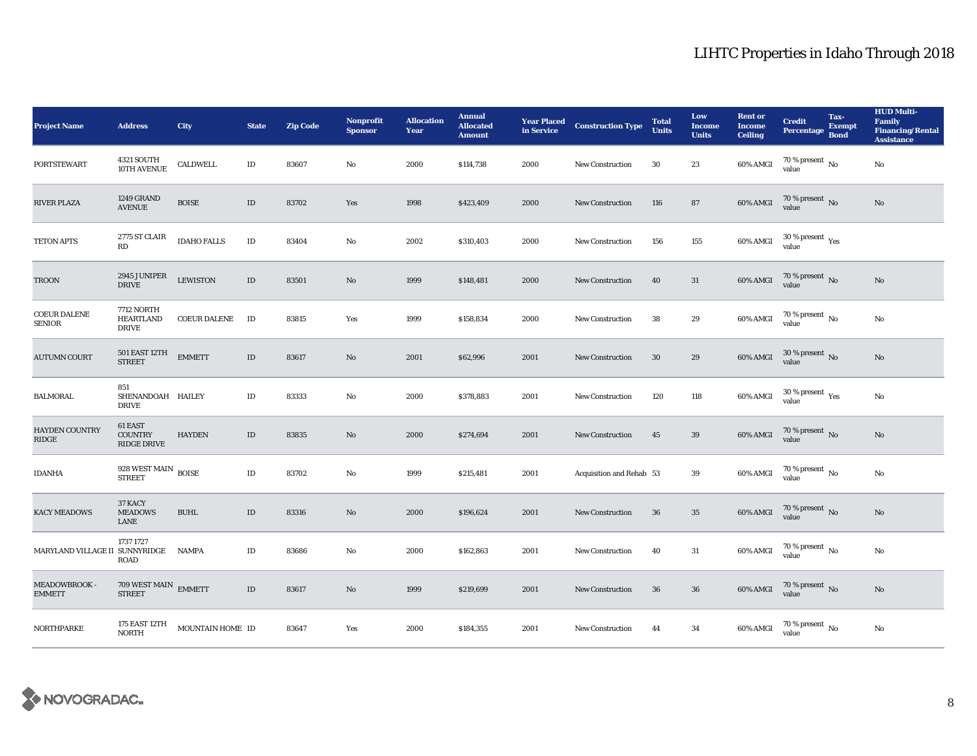| <b>Project Name</b>                  | <b>Address</b>                                        | City                | <b>State</b> | <b>Zip Code</b> | <b>Nonprofit</b><br><b>Sponsor</b> | <b>Allocation</b><br>Year | <b>Annual</b><br><b>Allocated</b><br><b>Amount</b> | <b>Year Placed<br/>in Service</b> | <b>Construction Type</b> | <b>Total</b><br><b>Units</b> | Low<br><b>Income</b><br><b>Units</b> | <b>Rent or</b><br><b>Income</b><br><b>Ceiling</b> | <b>Credit</b><br>Percentage             | Tax-<br>Exempt<br><b>Bond</b> | <b>HUD Multi-</b><br>Family<br><b>Financing/Rental</b><br><b>Assistance</b> |
|--------------------------------------|-------------------------------------------------------|---------------------|--------------|-----------------|------------------------------------|---------------------------|----------------------------------------------------|-----------------------------------|--------------------------|------------------------------|--------------------------------------|---------------------------------------------------|-----------------------------------------|-------------------------------|-----------------------------------------------------------------------------|
| <b>PORTSTEWART</b>                   | 4321 SOUTH<br>10TH AVENUE                             | <b>CALDWELL</b>     | $\rm ID$     | 83607           | No                                 | 2000                      | \$114,738                                          | 2000                              | New Construction         | 30                           | 23                                   | 60% AMGI                                          | $70$ % present $\,$ No $\,$<br>value    |                               | $\mathbf{No}$                                                               |
| RIVER PLAZA                          | 1249 GRAND<br><b>AVENUE</b>                           | <b>BOISE</b>        | $\rm ID$     | 83702           | Yes                                | 1998                      | \$423,409                                          | 2000                              | New Construction         | 116                          | 87                                   | 60% AMGI                                          | $70$ % present $\,$ No value            |                               | $\mathbf{N}\mathbf{o}$                                                      |
| <b>TETON APTS</b>                    | 2775 ST CLAIR<br>RD                                   | <b>IDAHO FALLS</b>  | $\rm ID$     | 83404           | No                                 | 2002                      | \$310,403                                          | 2000                              | <b>New Construction</b>  | 156                          | 155                                  | 60% AMGI                                          | $30\,\%$ present $\,\mathrm{Yes}$ value |                               |                                                                             |
| TROON                                | 2945 JUNIPER<br><b>DRIVE</b>                          | <b>LEWISTON</b>     | $\rm ID$     | 83501           | $\mathbf{N}\mathbf{o}$             | 1999                      | \$148,481                                          | 2000                              | New Construction         | 40                           | 31                                   | 60% AMGI                                          | $70$ % present $\,$ No value            |                               | $\mathbf{No}$                                                               |
| <b>COEUR DALENE</b><br><b>SENIOR</b> | <b>7712 NORTH</b><br><b>HEARTLAND</b><br><b>DRIVE</b> | <b>COEUR DALENE</b> | ID           | 83815           | Yes                                | 1999                      | \$158,834                                          | 2000                              | New Construction         | 38                           | 29                                   | 60% AMGI                                          | $70$ % present $\,$ No value            |                               | No                                                                          |
| <b>AUTUMN COURT</b>                  | 501 EAST 12TH<br><b>STREET</b>                        | <b>EMMETT</b>       | ID           | 83617           | No                                 | 2001                      | \$62,996                                           | 2001                              | <b>New Construction</b>  | 30                           | 29                                   | 60% AMGI                                          | $30\,\%$ present $\,$ No value          |                               | $\mathbf{N}\mathbf{o}$                                                      |
| <b>BALMORAL</b>                      | 851<br>SHENANDOAH HAILEY<br><b>DRIVE</b>              |                     | $\rm ID$     | 83333           | No                                 | 2000                      | \$378,883                                          | 2001                              | <b>New Construction</b>  | 120                          | 118                                  | 60% AMGI                                          | $30\,\%$ present $\,\mathrm{Yes}$ value |                               | No                                                                          |
| <b>HAYDEN COUNTRY</b><br>RIDGE       | 61 EAST<br><b>COUNTRY</b><br><b>RIDGE DRIVE</b>       | <b>HAYDEN</b>       | $\rm ID$     | 83835           | $\mathbf{N}\mathbf{o}$             | 2000                      | \$274,694                                          | 2001                              | New Construction         | 45                           | 39                                   | 60% AMGI                                          | $70$ % present $\,$ No value            |                               | $\mathbf{No}$                                                               |
| <b>IDANHA</b>                        | $928$ WEST MAIN $_{\rm BOISE}$<br><b>STREET</b>       |                     | $\rm ID$     | 83702           | No                                 | 1999                      | \$215,481                                          | 2001                              | Acquisition and Rehab 53 |                              | 39                                   | 60% AMGI                                          | $70\,\%$ present $_{\rm{No}}$           |                               | $\mathbf{No}$                                                               |
| <b>KACY MEADOWS</b>                  | 37 KACY<br><b>MEADOWS</b><br>LANE                     | <b>BUHL</b>         | $\rm ID$     | 83316           | No                                 | 2000                      | \$196,624                                          | 2001                              | <b>New Construction</b>  | 36                           | $35\,$                               | 60% AMGI                                          | $70\,\%$ present $\,$ No value          |                               | $\rm No$                                                                    |
| MARYLAND VILLAGE II SUNNYRIDGE       | 1737 1727<br><b>ROAD</b>                              | <b>NAMPA</b>        | $\rm ID$     | 83686           | No                                 | 2000                      | \$162,863                                          | 2001                              | New Construction         | 40                           | $31\,$                               | 60% AMGI                                          | $70\,\%$ present $\,$ No value          |                               | No                                                                          |
| MEADOWBROOK -<br><b>EMMETT</b>       | $709\, \rm{WEST}$ MAIN $\,$ EMMETT STREET             |                     | $\rm ID$     | 83617           | No                                 | 1999                      | \$219,699                                          | 2001                              | <b>New Construction</b>  | 36                           | $36\,$                               | <b>60% AMGI</b>                                   | $70\,\%$ present $\,$ No value          |                               | $\mathbf{No}$                                                               |
| NORTHPARKE                           | 175 EAST 12TH<br><b>NORTH</b>                         | MOUNTAIN HOME ID    |              | 83647           | Yes                                | 2000                      | \$184,355                                          | 2001                              | <b>New Construction</b>  | 44                           | 34                                   | 60% AMGI                                          | $70\,\%$ present $\,$ No value          |                               | No                                                                          |

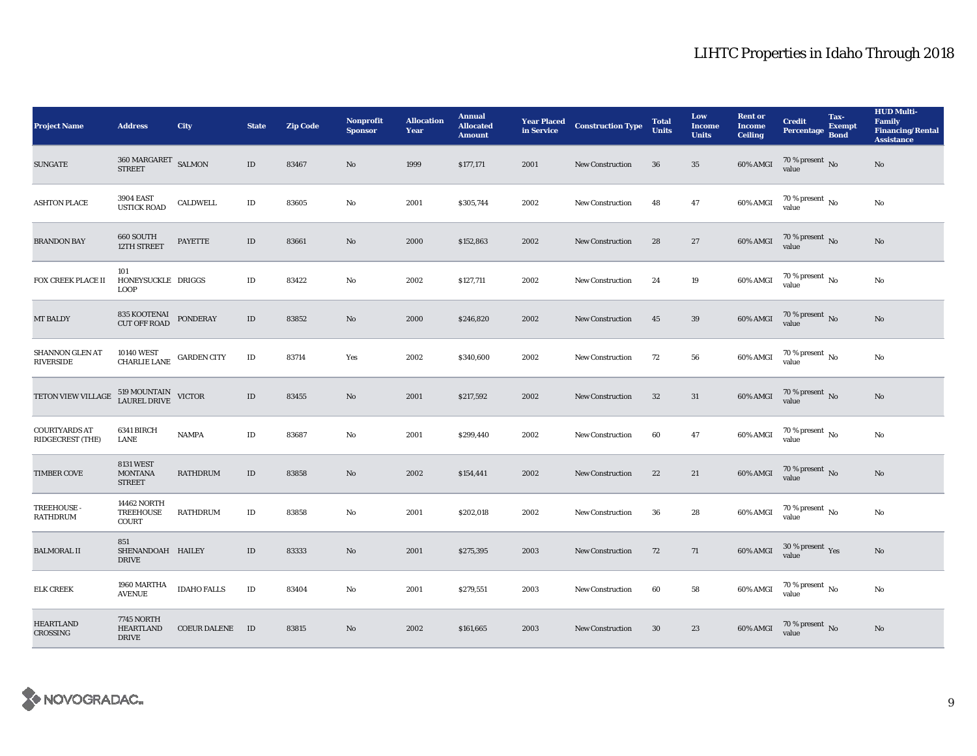| <b>Project Name</b>                      | <b>Address</b>                                                | <b>City</b>         | <b>State</b> | <b>Zip Code</b> | <b>Nonprofit</b><br><b>Sponsor</b> | <b>Allocation</b><br>Year | <b>Annual</b><br><b>Allocated</b><br><b>Amount</b> | <b>Year Placed</b><br>in Service | <b>Construction Type</b> | <b>Total</b><br><b>Units</b> | Low<br><b>Income</b><br><b>Units</b> | <b>Rent or</b><br><b>Income</b><br><b>Ceiling</b> | <b>Credit</b><br>Percentage Bond                    | Tax-<br>Exempt | <b>HUD Multi-</b><br><b>Family</b><br><b>Financing/Rental</b><br><b>Assistance</b> |
|------------------------------------------|---------------------------------------------------------------|---------------------|--------------|-----------------|------------------------------------|---------------------------|----------------------------------------------------|----------------------------------|--------------------------|------------------------------|--------------------------------------|---------------------------------------------------|-----------------------------------------------------|----------------|------------------------------------------------------------------------------------|
| <b>SUNGATE</b>                           | $360\ \mathrm{MARGARET}\quad$ SALMON<br><b>STREET</b>         |                     | $\rm ID$     | 83467           | No                                 | 1999                      | \$177,171                                          | 2001                             | <b>New Construction</b>  | 36                           | 35                                   | 60% AMGI                                          | $70\,\%$ present $\,$ No value                      |                | $\mathbf{No}$                                                                      |
| <b>ASHTON PLACE</b>                      | <b>3904 EAST</b><br><b>USTICK ROAD</b>                        | CALDWELL            | $\rm ID$     | 83605           | No                                 | 2001                      | \$305,744                                          | 2002                             | New Construction         | 48                           | $\bf 47$                             | 60% AMGI                                          | $70$ % present $\,$ No $\,$<br>value                |                | $\rm No$                                                                           |
| <b>BRANDON BAY</b>                       | 660 SOUTH<br>12TH STREET                                      | <b>PAYETTE</b>      | $\rm ID$     | 83661           | $\mathbf{No}$                      | 2000                      | \$152,863                                          | 2002                             | New Construction         | 28                           | $27\,$                               | 60% AMGI                                          | $70$ % present $\,$ No value                        |                | $\rm No$                                                                           |
| FOX CREEK PLACE II                       | 101<br>HONEYSUCKLE DRIGGS<br><b>LOOP</b>                      |                     | $\rm ID$     | 83422           | No                                 | 2002                      | \$127,711                                          | 2002                             | <b>New Construction</b>  | 24                           | $19\,$                               | 60% AMGI                                          | $70\,\%$ present $\,$ No value                      |                | No                                                                                 |
| MT BALDY                                 | 835 KOOTENAI<br>CUT OFF ROAD                                  | <b>PONDERAY</b>     | $\rm ID$     | 83852           | No                                 | 2000                      | \$246,820                                          | 2002                             | New Construction         | 45                           | 39                                   | $60\%$ AMGI                                       | $70$ % present $\,$ No value                        |                | $\rm No$                                                                           |
| SHANNON GLEN AT<br><b>RIVERSIDE</b>      | $10140\text{ WEST}$ GARDEN CITY CHARLIE LANE $\,$ GARDEN CITY |                     | $\rm ID$     | 83714           | Yes                                | 2002                      | \$340,600                                          | 2002                             | <b>New Construction</b>  | 72                           | 56                                   | 60% AMGI                                          | $\frac{70 \text{ %} \times 10000}{\text{value}}$ No |                | $\mathbf{N}\mathbf{o}$                                                             |
| TETON VIEW VILLAGE                       | 519 MOUNTAIN VICTOR<br>LAUREL DRIVE VICTOR                    |                     | $\rm ID$     | 83455           | No                                 | 2001                      | \$217,592                                          | 2002                             | <b>New Construction</b>  | 32                           | 31                                   | 60% AMGI                                          | $70$ % present $\,$ No value                        |                | No                                                                                 |
| <b>COURTYARDS AT</b><br>RIDGECREST (THE) | 6341 BIRCH<br>LANE                                            | <b>NAMPA</b>        | $\rm ID$     | 83687           | No                                 | 2001                      | \$299,440                                          | 2002                             | New Construction         | 60                           | 47                                   | 60% AMGI                                          | $70\,\%$ present $\,$ No value                      |                | No                                                                                 |
| <b>TIMBER COVE</b>                       | <b>8131 WEST</b><br><b>MONTANA</b><br><b>STREET</b>           | <b>RATHDRUM</b>     | $\rm ID$     | 83858           | $\mathbf{N}\mathbf{o}$             | 2002                      | \$154,441                                          | 2002                             | <b>New Construction</b>  | 22                           | 21                                   | 60% AMGI                                          | $70\,\%$ present $\,$ No value                      |                | $\rm No$                                                                           |
| TREEHOUSE -<br><b>RATHDRUM</b>           | <b>14462 NORTH</b><br><b>TREEHOUSE</b><br><b>COURT</b>        | <b>RATHDRUM</b>     | $\rm ID$     | 83858           | No                                 | 2001                      | \$202,018                                          | 2002                             | New Construction         | 36                           | 28                                   | 60% AMGI                                          | $70$ % present $\,$ No $\,$<br>value                |                | $\rm No$                                                                           |
| <b>BALMORAL II</b>                       | 851<br>SHENANDOAH HAILEY<br><b>DRIVE</b>                      |                     | $\rm ID$     | 83333           | No                                 | 2001                      | \$275,395                                          | 2003                             | New Construction         | 72                           | 71                                   | 60% AMGI                                          | $30\,\%$ present $\,\mathrm{Yes}$ value             |                | $\mathbf{No}$                                                                      |
| <b>ELK CREEK</b>                         | 1960 MARTHA<br><b>AVENUE</b>                                  | <b>IDAHO FALLS</b>  | $\rm ID$     | 83404           | No                                 | 2001                      | \$279,551                                          | 2003                             | New Construction         | 60                           | 58                                   | $60\%$ AMGI                                       | $70\,\%$ present $\,$ No value                      |                | No                                                                                 |
| <b>HEARTLAND</b><br>CROSSING             | <b>7745 NORTH</b><br><b>HEARTLAND</b><br><b>DRIVE</b>         | <b>COEUR DALENE</b> | ID           | 83815           | No                                 | 2002                      | \$161,665                                          | 2003                             | <b>New Construction</b>  | 30                           | 23                                   | 60% AMGI                                          | $70\,\%$ present $\,$ No value                      |                | No                                                                                 |

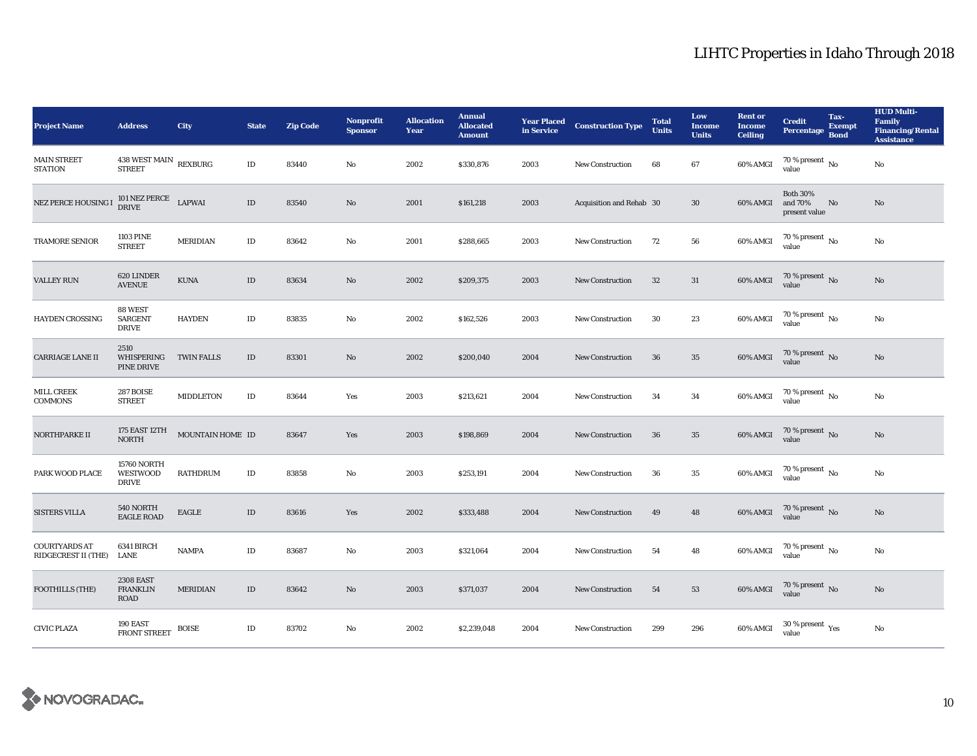| <b>Project Name</b>                         | <b>Address</b>                                        | City              | <b>State</b> | <b>Zip Code</b> | <b>Nonprofit</b><br><b>Sponsor</b> | <b>Allocation</b><br>Year | <b>Annual</b><br><b>Allocated</b><br><b>Amount</b> | <b>Year Placed</b><br>in Service | <b>Construction Type</b> | <b>Total</b><br>Units | Low<br><b>Income</b><br><b>Units</b> | <b>Rent or</b><br><b>Income</b><br><b>Ceiling</b> | <b>Credit</b><br><b>Percentage</b>          | Tax-<br><b>Exempt</b><br><b>Bond</b> | <b>HUD Multi-</b><br>Family<br><b>Financing/Rental</b><br><b>Assistance</b> |
|---------------------------------------------|-------------------------------------------------------|-------------------|--------------|-----------------|------------------------------------|---------------------------|----------------------------------------------------|----------------------------------|--------------------------|-----------------------|--------------------------------------|---------------------------------------------------|---------------------------------------------|--------------------------------------|-----------------------------------------------------------------------------|
| <b>MAIN STREET</b><br><b>STATION</b>        | $438$ WEST MAIN $\,$ REXBURG<br><b>STREET</b>         |                   | ID           | 83440           | No                                 | 2002                      | \$330,876                                          | 2003                             | <b>New Construction</b>  | 68                    | 67                                   | 60% AMGI                                          | $70$ % present $\,$ No $\,$<br>value        |                                      | No                                                                          |
| NEZ PERCE HOUSING I                         | $101\,\mathrm{NEZ}\,\mathrm{PERCE}$ LAPWAI DRIVE      |                   | $\rm ID$     | 83540           | No                                 | 2001                      | \$161,218                                          | 2003                             | Acquisition and Rehab 30 |                       | $30\,$                               | 60% AMGI                                          | <b>Both 30%</b><br>and 70%<br>present value | No                                   | No                                                                          |
| TRAMORE SENIOR                              | <b>1103 PINE</b><br><b>STREET</b>                     | <b>MERIDIAN</b>   | $\rm ID$     | 83642           | No                                 | 2001                      | \$288,665                                          | 2003                             | <b>New Construction</b>  | 72                    | 56                                   | 60% AMGI                                          | $70$ % present $\,$ No value                |                                      | $\mathbf{No}$                                                               |
| <b>VALLEY RUN</b>                           | 620 LINDER<br><b>AVENUE</b>                           | <b>KUNA</b>       | $\rm ID$     | 83634           | $\mathbf{N}\mathbf{o}$             | 2002                      | \$209,375                                          | 2003                             | <b>New Construction</b>  | 32                    | 31                                   | 60% AMGI                                          | $70$ % present $\,$ No value                |                                      | No                                                                          |
| <b>HAYDEN CROSSING</b>                      | 88 WEST<br><b>SARGENT</b><br><b>DRIVE</b>             | <b>HAYDEN</b>     | $\rm ID$     | 83835           | $\mathbf{No}$                      | 2002                      | \$162,526                                          | 2003                             | <b>New Construction</b>  | $30\,$                | 23                                   | 60% AMGI                                          | $70$ % present $\,$ No value                |                                      | No                                                                          |
| <b>CARRIAGE LANE II</b>                     | 2510<br>WHISPERING<br>PINE DRIVE                      | <b>TWIN FALLS</b> | $\rm ID$     | 83301           | No                                 | 2002                      | \$200,040                                          | 2004                             | <b>New Construction</b>  | 36                    | 35                                   | 60% AMGI                                          | $70$ % present $\,$ No value                |                                      | No                                                                          |
| MILL CREEK<br><b>COMMONS</b>                | 287 BOISE<br><b>STREET</b>                            | <b>MIDDLETON</b>  | $\rm ID$     | 83644           | Yes                                | 2003                      | \$213,621                                          | 2004                             | <b>New Construction</b>  | 34                    | 34                                   | 60% AMGI                                          | $70$ % present $_{\rm{No}}$                 |                                      | No                                                                          |
| NORTHPARKE II                               | 175 EAST 12TH<br>NORTH                                | MOUNTAIN HOME ID  |              | 83647           | Yes                                | 2003                      | \$198,869                                          | 2004                             | <b>New Construction</b>  | 36                    | 35                                   | 60% AMGI                                          | $70$ % present $\,$ No value                |                                      | No                                                                          |
| PARK WOOD PLACE                             | <b>15760 NORTH</b><br><b>WESTWOOD</b><br><b>DRIVE</b> | <b>RATHDRUM</b>   | $\rm ID$     | 83858           | No                                 | 2003                      | \$253,191                                          | 2004                             | <b>New Construction</b>  | 36                    | $\bf 35$                             | 60% AMGI                                          | $70$ % present $\,$ No $\,$<br>value        |                                      | No                                                                          |
| <b>SISTERS VILLA</b>                        | 540 NORTH<br><b>EAGLE ROAD</b>                        | EAGLE             | $\rm ID$     | 83616           | Yes                                | 2002                      | \$333,488                                          | 2004                             | <b>New Construction</b>  | 49                    | 48                                   | $60\%$ AMGI                                       | $70\,\%$ present $\,$ No value              |                                      | $\rm No$                                                                    |
| <b>COURTYARDS AT</b><br>RIDGECREST II (THE) | 6341 BIRCH<br>LANE                                    | <b>NAMPA</b>      | $\rm ID$     | 83687           | No                                 | 2003                      | \$321,064                                          | 2004                             | <b>New Construction</b>  | 54                    | 48                                   | 60% AMGI                                          | $70\,\%$ present $_{\rm{No}}$               |                                      | No                                                                          |
| FOOTHILLS (THE)                             | <b>2308 EAST</b><br><b>FRANKLIN</b><br>ROAD           | <b>MERIDIAN</b>   | $\rm ID$     | 83642           | No                                 | 2003                      | \$371,037                                          | 2004                             | <b>New Construction</b>  | 54                    | 53                                   | $60\%$ AMGI                                       | $70\,\%$ present $\,$ No value              |                                      | No                                                                          |
| <b>CIVIC PLAZA</b>                          | 190 EAST<br><b>FRONT STREET</b>                       | <b>BOISE</b>      | $\rm ID$     | 83702           | No                                 | 2002                      | \$2,239,048                                        | 2004                             | <b>New Construction</b>  | 299                   | 296                                  | 60% AMGI                                          | $30\,\%$ present $\,\mathrm{Yes}$ value     |                                      | No                                                                          |

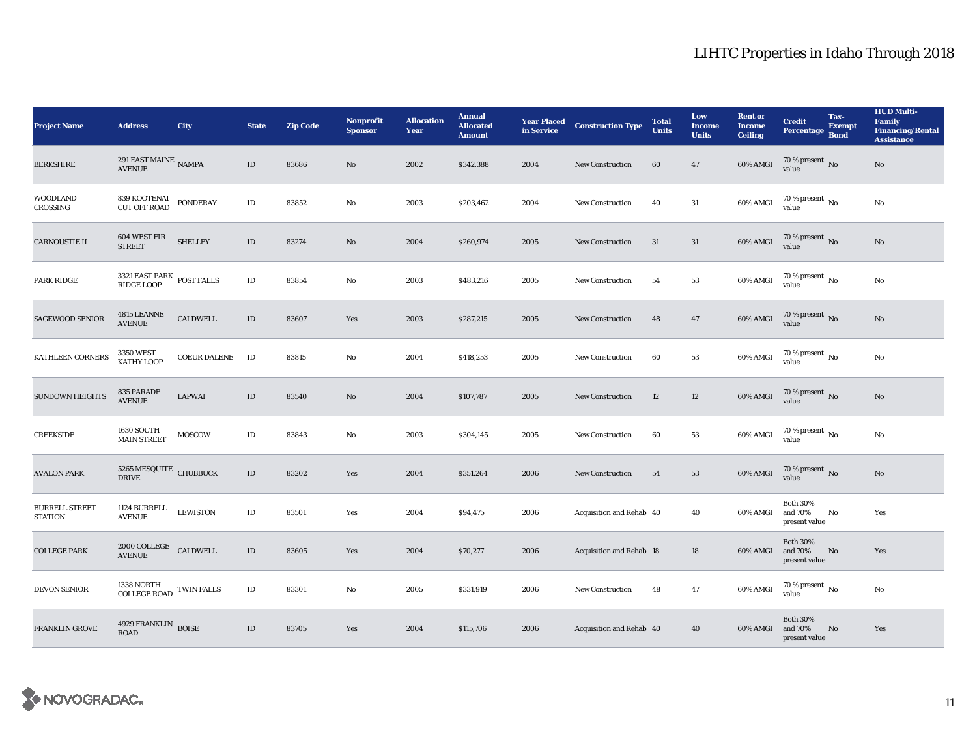| <b>Project Name</b>                     | <b>Address</b>                                                          | City                | <b>State</b> | <b>Zip Code</b> | <b>Nonprofit</b><br><b>Sponsor</b> | <b>Allocation</b><br>Year | <b>Annual</b><br><b>Allocated</b><br><b>Amount</b> | <b>Year Placed</b><br>in Service | <b>Construction Type</b> | <b>Total</b><br><b>Units</b> | Low<br>Income<br><b>Units</b> | <b>Rent or</b><br><b>Income</b><br><b>Ceiling</b> | <b>Credit</b><br>Percentage Bond            | Tax-<br><b>Exempt</b> | <b>HUD Multi-</b><br><b>Family</b><br><b>Financing/Rental</b><br><b>Assistance</b> |
|-----------------------------------------|-------------------------------------------------------------------------|---------------------|--------------|-----------------|------------------------------------|---------------------------|----------------------------------------------------|----------------------------------|--------------------------|------------------------------|-------------------------------|---------------------------------------------------|---------------------------------------------|-----------------------|------------------------------------------------------------------------------------|
| <b>BERKSHIRE</b>                        | 291 EAST MAINE $\,$ NAMPA<br><b>AVENUE</b>                              |                     | $\rm ID$     | 83686           | No                                 | 2002                      | \$342,388                                          | 2004                             | <b>New Construction</b>  | 60                           | 47                            | 60% AMGI                                          | $70$ % present $\,$ No $\,$<br>value        |                       | No                                                                                 |
| <b>WOODLAND</b><br>CROSSING             | 839 KOOTENAI<br>CUT OFF ROAD                                            | <b>PONDERAY</b>     | $\rm ID$     | 83852           | No                                 | 2003                      | \$203,462                                          | 2004                             | New Construction         | 40                           | 31                            | 60% AMGI                                          | 70 % present $\,$ No $\,$<br>value          |                       | $\rm No$                                                                           |
| <b>CARNOUSTIE II</b>                    | 604 WEST FIR<br><b>STREET</b>                                           | <b>SHELLEY</b>      | $\rm ID$     | 83274           | $\mathbf{No}$                      | 2004                      | \$260,974                                          | 2005                             | <b>New Construction</b>  | 31                           | $31\,$                        | 60% AMGI                                          | $70$ % present $\,$ No value                |                       | $\rm No$                                                                           |
| PARK RIDGE                              | $3321$ EAST PARK $\,$ POST FALLS RIDGE LOOP                             |                     | $\rm ID$     | 83854           | No                                 | 2003                      | \$483,216                                          | 2005                             | New Construction         | 54                           | 53                            | 60% AMGI                                          | $70$ % present $\,$ No $\,$<br>value        |                       | No                                                                                 |
| <b>SAGEWOOD SENIOR</b>                  | 4815 LEANNE<br><b>AVENUE</b>                                            | ${\tt CALDWELL}$    | $\rm ID$     | 83607           | Yes                                | 2003                      | \$287,215                                          | 2005                             | New Construction         | 48                           | 47                            | 60% AMGI                                          | $70$ % present $\,$ No value                |                       | $\mathbf{N}\mathbf{o}$                                                             |
| <b>KATHLEEN CORNERS</b>                 | 3350 WEST<br>KATHY LOOP                                                 | <b>COEUR DALENE</b> | ID           | 83815           | No                                 | 2004                      | \$418,253                                          | 2005                             | <b>New Construction</b>  | 60                           | 53                            | 60% AMGI                                          | $70\,\%$ present $\,$ No value              |                       | No                                                                                 |
| <b>SUNDOWN HEIGHTS</b>                  | 835 PARADE<br><b>AVENUE</b>                                             | <b>LAPWAI</b>       | $\rm ID$     | 83540           | No                                 | 2004                      | \$107,787                                          | 2005                             | <b>New Construction</b>  | 12                           | 12                            | 60% AMGI                                          | $70$ % present $\,$ No $\,$<br>value        |                       | $\mathbf{N}\mathbf{o}$                                                             |
| <b>CREEKSIDE</b>                        | <b>1630 SOUTH</b><br><b>MAIN STREET</b>                                 | MOSCOW              | $\rm ID$     | 83843           | No                                 | 2003                      | \$304,145                                          | 2005                             | <b>New Construction</b>  | 60                           | 53                            | 60% AMGI                                          | $70\,\%$ present $\,$ No value              |                       | No                                                                                 |
| <b>AVALON PARK</b>                      | $5265\ {\rm MESQUITE}$ CHUBBUCK DRIVE                                   |                     | $\rm ID$     | 83202           | Yes                                | 2004                      | \$351,264                                          | 2006                             | New Construction         | 54                           | 53                            | 60% AMGI                                          | $70$ % present $\,$ No value                |                       | No                                                                                 |
| <b>BURRELL STREET</b><br><b>STATION</b> | 1124 BURRELL<br><b>AVENUE</b>                                           | <b>LEWISTON</b>     | $\rm ID$     | 83501           | Yes                                | 2004                      | \$94,475                                           | 2006                             | Acquisition and Rehab 40 |                              | 40                            | 60% AMGI                                          | <b>Both 30%</b><br>and 70%<br>present value | No                    | Yes                                                                                |
| <b>COLLEGE PARK</b>                     | $2000\,\mathrm{COLLEGE}$ $\,$ <code>CALDWELL</code> <code>AVENUE</code> |                     | $\rm ID$     | 83605           | Yes                                | 2004                      | \$70,277                                           | 2006                             | Acquisition and Rehab 18 |                              | 18                            | 60% AMGI                                          | <b>Both 30%</b><br>and 70%<br>present value | No                    | Yes                                                                                |
| DEVON SENIOR                            | $1338$ NORTH $_{\rm COLLEGE\,ROAD}$ TWIN FALLS                          |                     | $\rm ID$     | 83301           | No                                 | 2005                      | \$331,919                                          | 2006                             | New Construction         | 48                           | 47                            | 60% AMGI                                          | $70\,\%$ present $\,$ No value              |                       | No                                                                                 |
| <b>FRANKLIN GROVE</b>                   | 4929 FRANKLIN BOISE<br><b>ROAD</b>                                      |                     | $\rm ID$     | 83705           | Yes                                | 2004                      | \$115,706                                          | 2006                             | Acquisition and Rehab 40 |                              | 40                            | 60% AMGI                                          | <b>Both 30%</b><br>and 70%<br>present value | No                    | Yes                                                                                |

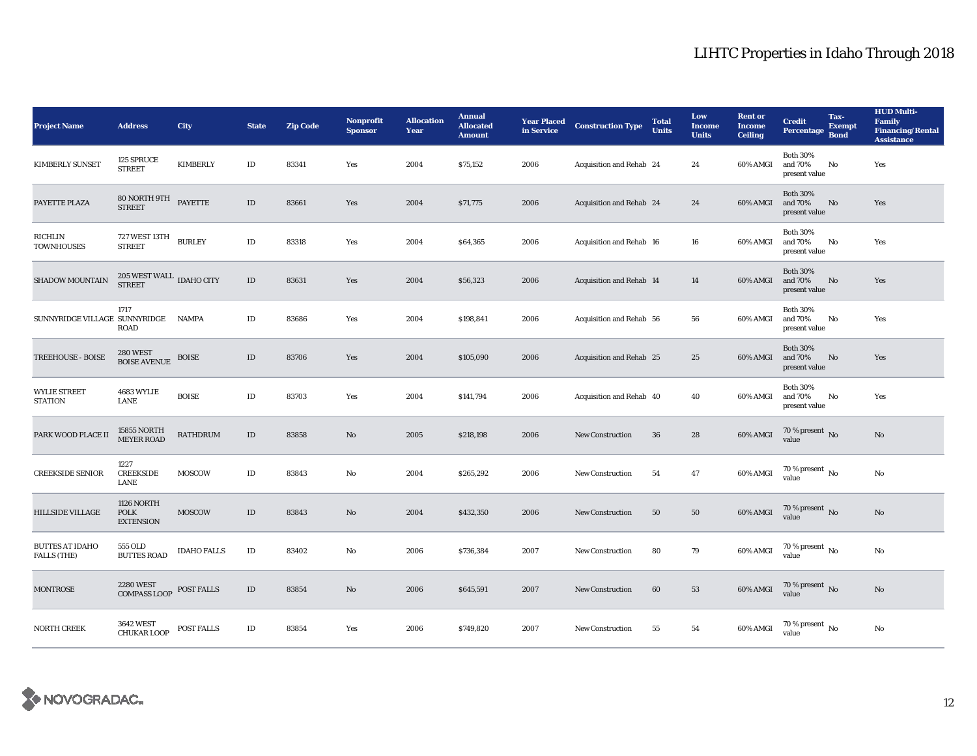| <b>Project Name</b>                          | <b>Address</b>                                       | <b>City</b>        | <b>State</b> | <b>Zip Code</b> | <b>Nonprofit</b><br><b>Sponsor</b> | <b>Allocation</b><br>Year | <b>Annual</b><br><b>Allocated</b><br><b>Amount</b> | <b>Year Placed</b><br>in Service | <b>Construction Type</b> | <b>Total</b><br><b>Units</b> | Low<br>Income<br><b>Units</b> | <b>Rent or</b><br><b>Income</b><br><b>Ceiling</b> | <b>Credit</b><br><b>Percentage</b>          | Tax-<br><b>Exempt</b><br><b>Bond</b> | <b>HUD Multi-</b><br>Family<br><b>Financing/Rental</b><br><b>Assistance</b> |
|----------------------------------------------|------------------------------------------------------|--------------------|--------------|-----------------|------------------------------------|---------------------------|----------------------------------------------------|----------------------------------|--------------------------|------------------------------|-------------------------------|---------------------------------------------------|---------------------------------------------|--------------------------------------|-----------------------------------------------------------------------------|
| <b>KIMBERLY SUNSET</b>                       | 125 SPRUCE<br><b>STREET</b>                          | <b>KIMBERLY</b>    | $\rm ID$     | 83341           | Yes                                | 2004                      | \$75,152                                           | 2006                             | Acquisition and Rehab 24 |                              | 24                            | 60% AMGI                                          | <b>Both 30%</b><br>and 70%<br>present value | No                                   | Yes                                                                         |
| PAYETTE PLAZA                                | 80 NORTH 9TH<br>STREET                               | PAYETTE            | $\rm ID$     | 83661           | Yes                                | 2004                      | \$71,775                                           | 2006                             | Acquisition and Rehab 24 |                              | 24                            | 60% AMGI                                          | <b>Both 30%</b><br>and 70%<br>present value | $\mathbf{N}\mathbf{o}$               | Yes                                                                         |
| RICHLIN<br><b>TOWNHOUSES</b>                 | 727 WEST 13TH<br><b>STREET</b>                       | <b>BURLEY</b>      | $\rm ID$     | 83318           | Yes                                | 2004                      | \$64,365                                           | 2006                             | Acquisition and Rehab 16 |                              | 16                            | 60% AMGI                                          | <b>Both 30%</b><br>and 70%<br>present value | No                                   | Yes                                                                         |
| SHADOW MOUNTAIN                              | $205$ WEST WALL $\,$ IDAHO CITY<br><b>STREET</b>     |                    | $\rm ID$     | 83631           | Yes                                | 2004                      | \$56,323                                           | 2006                             | Acquisition and Rehab 14 |                              | 14                            | 60% AMGI                                          | <b>Both 30%</b><br>and 70%<br>present value | $\rm No$                             | Yes                                                                         |
| SUNNYRIDGE VILLAGE SUNNYRIDGE                | 1717<br>ROAD                                         | <b>NAMPA</b>       | $\rm ID$     | 83686           | Yes                                | 2004                      | \$198,841                                          | 2006                             | Acquisition and Rehab 56 |                              | 56                            | 60% AMGI                                          | <b>Both 30%</b><br>and 70%<br>present value | No                                   | Yes                                                                         |
| TREEHOUSE - BOISE                            | 280 WEST<br>BOISE AVENUE                             | <b>BOISE</b>       | $\rm ID$     | 83706           | Yes                                | 2004                      | \$105,090                                          | 2006                             | Acquisition and Rehab 25 |                              | 25                            | 60% AMGI                                          | <b>Both 30%</b><br>and 70%<br>present value | No                                   | Yes                                                                         |
| <b>WYLIE STREET</b><br><b>STATION</b>        | 4683 WYLIE<br>LANE                                   | <b>BOISE</b>       | $\rm ID$     | 83703           | Yes                                | 2004                      | \$141,794                                          | 2006                             | Acquisition and Rehab 40 |                              | 40                            | 60% AMGI                                          | <b>Both 30%</b><br>and 70%<br>present value | No                                   | Yes                                                                         |
| PARK WOOD PLACE II                           | 15855 NORTH<br>MEYER ROAD                            | RATHDRUM           | $\rm ID$     | 83858           | $\mathbf{N}\mathbf{o}$             | 2005                      | \$218,198                                          | 2006                             | <b>New Construction</b>  | 36                           | 28                            | 60% AMGI                                          | $70$ % present $\,$ No value                |                                      | No                                                                          |
| <b>CREEKSIDE SENIOR</b>                      | 1227<br><b>CREEKSIDE</b><br>LANE                     | <b>MOSCOW</b>      | $\rm ID$     | 83843           | No                                 | 2004                      | \$265,292                                          | 2006                             | <b>New Construction</b>  | 54                           | 47                            | 60% AMGI                                          | $70$ % present $\,$ No value                |                                      | No                                                                          |
| <b>HILLSIDE VILLAGE</b>                      | <b>1126 NORTH</b><br><b>POLK</b><br><b>EXTENSION</b> | <b>MOSCOW</b>      | $\rm ID$     | 83843           | No                                 | 2004                      | \$432,350                                          | 2006                             | <b>New Construction</b>  | 50                           | 50                            | 60% AMGI                                          | $70\,\%$ present $\,$ No value              |                                      | No                                                                          |
| <b>BUTTES AT IDAHO</b><br><b>FALLS (THE)</b> | 555 OLD<br><b>BUTTES ROAD</b>                        | <b>IDAHO FALLS</b> | $\rm ID$     | 83402           | No                                 | 2006                      | \$736,384                                          | 2007                             | <b>New Construction</b>  | 80                           | 79                            | 60% AMGI                                          | $70\,\%$ present $\,$ No value              |                                      | No                                                                          |
| <b>MONTROSE</b>                              | <b>2280 WEST</b><br><b>COMPASS LOOP</b>              | POST FALLS         | $\rm ID$     | 83854           | No                                 | 2006                      | \$645,591                                          | 2007                             | <b>New Construction</b>  | 60                           | 53                            | 60% AMGI                                          | $70\,\%$ present $\,$ No value              |                                      | No                                                                          |
| <b>NORTH CREEK</b>                           | <b>3642 WEST</b><br><b>CHUKAR LOOP</b>               | POST FALLS         | $\rm ID$     | 83854           | Yes                                | 2006                      | \$749,820                                          | 2007                             | <b>New Construction</b>  | 55                           | 54                            | 60% AMGI                                          | 70 % present $\,$ No $\,$<br>value          |                                      | No                                                                          |

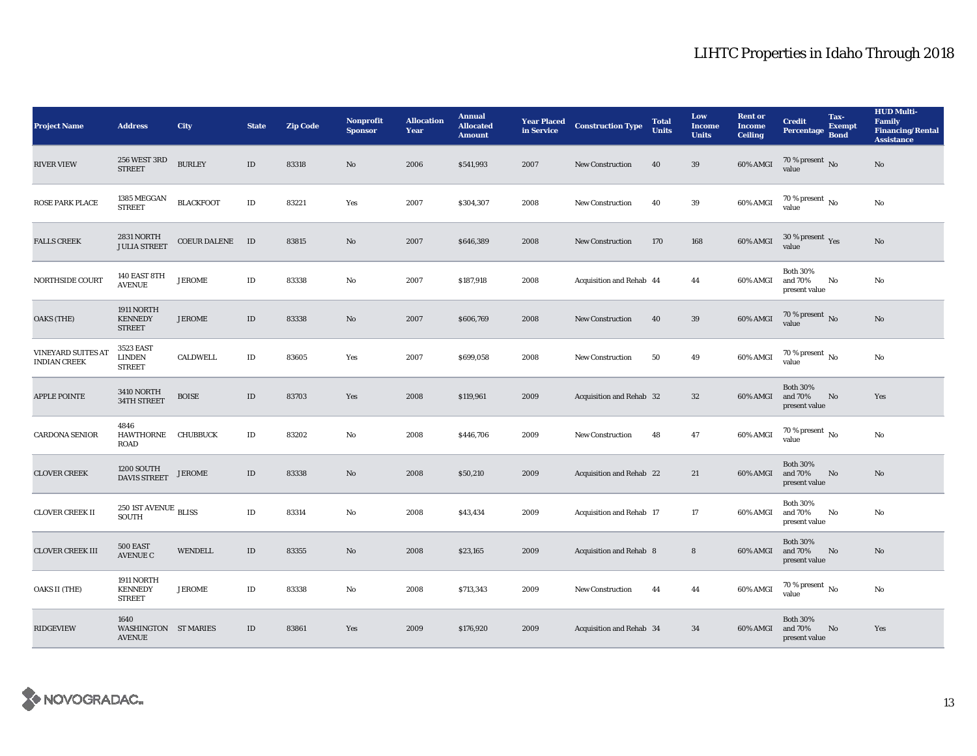| <b>Project Name</b>                       | <b>Address</b>                                       | City                | <b>State</b> | <b>Zip Code</b> | Nonprofit<br><b>Sponsor</b> | <b>Allocation</b><br>Year | <b>Annual</b><br><b>Allocated</b><br><b>Amount</b> | <b>Year Placed</b><br>in Service | <b>Construction Type</b>       | <b>Total</b><br><b>Units</b> | Low<br><b>Income</b><br><b>Units</b> | <b>Rent or</b><br><b>Income</b><br><b>Ceiling</b> | <b>Credit</b><br><b>Percentage</b>          | Tax-<br><b>Exempt</b><br><b>Bond</b> | <b>HUD Multi-</b><br><b>Family</b><br><b>Financing/Rental</b><br><b>Assistance</b> |
|-------------------------------------------|------------------------------------------------------|---------------------|--------------|-----------------|-----------------------------|---------------------------|----------------------------------------------------|----------------------------------|--------------------------------|------------------------------|--------------------------------------|---------------------------------------------------|---------------------------------------------|--------------------------------------|------------------------------------------------------------------------------------|
| <b>RIVER VIEW</b>                         | 256 WEST 3RD<br><b>STREET</b>                        | <b>BURLEY</b>       | $\rm ID$     | 83318           | No                          | 2006                      | \$541,993                                          | 2007                             | <b>New Construction</b>        | 40                           | 39                                   | 60% AMGI                                          | 70 % present $\overline{N}$<br>value        |                                      | $\mathbf{N}\mathbf{o}$                                                             |
| <b>ROSE PARK PLACE</b>                    | 1385 MEGGAN<br><b>STREET</b>                         | <b>BLACKFOOT</b>    | $\rm ID$     | 83221           | Yes                         | 2007                      | \$304,307                                          | 2008                             | <b>New Construction</b>        | 40                           | 39                                   | 60% AMGI                                          | $70$ % present $\,$ No $\,$<br>value        |                                      | No                                                                                 |
| <b>FALLS CREEK</b>                        | 2831 NORTH<br><b>JULIA STREET</b>                    | <b>COEUR DALENE</b> | ID           | 83815           | $\mathbf{No}$               | 2007                      | \$646,389                                          | 2008                             | New Construction               | 170                          | 168                                  | 60% AMGI                                          | 30 % present Yes<br>value                   |                                      | $\rm No$                                                                           |
| NORTHSIDE COURT                           | 140 EAST 8TH<br><b>AVENUE</b>                        | <b>JEROME</b>       | $\rm ID$     | 83338           | No                          | 2007                      | \$187,918                                          | 2008                             | Acquisition and Rehab 44       |                              | 44                                   | 60% AMGI                                          | <b>Both 30%</b><br>and 70%<br>present value | No                                   | No                                                                                 |
| <b>OAKS (THE)</b>                         | 1911 NORTH<br><b>KENNEDY</b><br><b>STREET</b>        | <b>JEROME</b>       | $\rm ID$     | 83338           | $\mathbf{N}\mathbf{o}$      | 2007                      | \$606,769                                          | 2008                             | New Construction               | 40                           | $39\,$                               | $60\%$ AMGI                                       | $70$ % present $\,$ No value                |                                      | $\mathbf{N}\mathbf{o}$                                                             |
| <b>VINEYARD SUITES AT</b><br>INDIAN CREEK | <b>3523 EAST</b><br><b>LINDEN</b><br><b>STREET</b>   | CALDWELL            | $\rm ID$     | 83605           | Yes                         | 2007                      | \$699,058                                          | 2008                             | <b>New Construction</b>        | 50                           | 49                                   | 60% AMGI                                          | $70\,\%$ present $\,$ No value              |                                      | $\rm No$                                                                           |
| <b>APPLE POINTE</b>                       | 3410 NORTH<br>34TH STREET                            | <b>BOISE</b>        | $\rm ID$     | 83703           | Yes                         | 2008                      | \$119,961                                          | 2009                             | Acquisition and Rehab 32       |                              | 32                                   | 60% AMGI                                          | <b>Both 30%</b><br>and 70%<br>present value | No                                   | Yes                                                                                |
| <b>CARDONA SENIOR</b>                     | 4846<br>HAWTHORNE CHUBBUCK<br>ROAD                   |                     | $\rm ID$     | 83202           | No                          | 2008                      | \$446,706                                          | 2009                             | New Construction               | 48                           | 47                                   | $60\%$ AMGI                                       | $70$ % present $\,$ No value                |                                      | No                                                                                 |
| <b>CLOVER CREEK</b>                       | 1200 SOUTH<br>DAVIS STREET                           | <b>JEROME</b>       | $\rm ID$     | 83338           | $\mathbf{N}\mathbf{o}$      | 2008                      | \$50,210                                           | 2009                             | Acquisition and Rehab 22       |                              | 21                                   | 60% AMGI                                          | <b>Both 30%</b><br>and 70%<br>present value | No                                   | No                                                                                 |
| <b>CLOVER CREEK II</b>                    | 250 IST AVENUE $_{\rm BLISS}$<br><b>SOUTH</b>        |                     | $\rm ID$     | 83314           | $\mathbf{N}\mathbf{o}$      | 2008                      | \$43,434                                           | 2009                             | Acquisition and Rehab 17       |                              | 17                                   | 60% AMGI                                          | <b>Both 30%</b><br>and 70%<br>present value | No                                   | No                                                                                 |
| <b>CLOVER CREEK III</b>                   | 500 EAST<br><b>AVENUE C</b>                          | <b>WENDELL</b>      | $\rm ID$     | 83355           | No                          | 2008                      | \$23,165                                           | 2009                             | <b>Acquisition and Rehab 8</b> |                              | $\bf8$                               | 60% AMGI                                          | <b>Both 30%</b><br>and 70%<br>present value | $\mathbf{N}\mathbf{o}$               | No                                                                                 |
| OAKS II (THE)                             | 1911 NORTH<br><b>KENNEDY</b><br><b>STREET</b>        | <b>JEROME</b>       | $\rm ID$     | 83338           | No                          | 2008                      | \$713,343                                          | 2009                             | <b>New Construction</b>        | 44                           | 44                                   | 60% AMGI                                          | $70\,\%$ present $\,$ No value              |                                      | No                                                                                 |
| <b>RIDGEVIEW</b>                          | 1640<br><b>WASHINGTON ST MARIES</b><br><b>AVENUE</b> |                     | $\rm ID$     | 83861           | Yes                         | 2009                      | \$176,920                                          | 2009                             | Acquisition and Rehab 34       |                              | 34                                   | 60% AMGI                                          | <b>Both 30%</b><br>and 70%<br>present value | No                                   | Yes                                                                                |

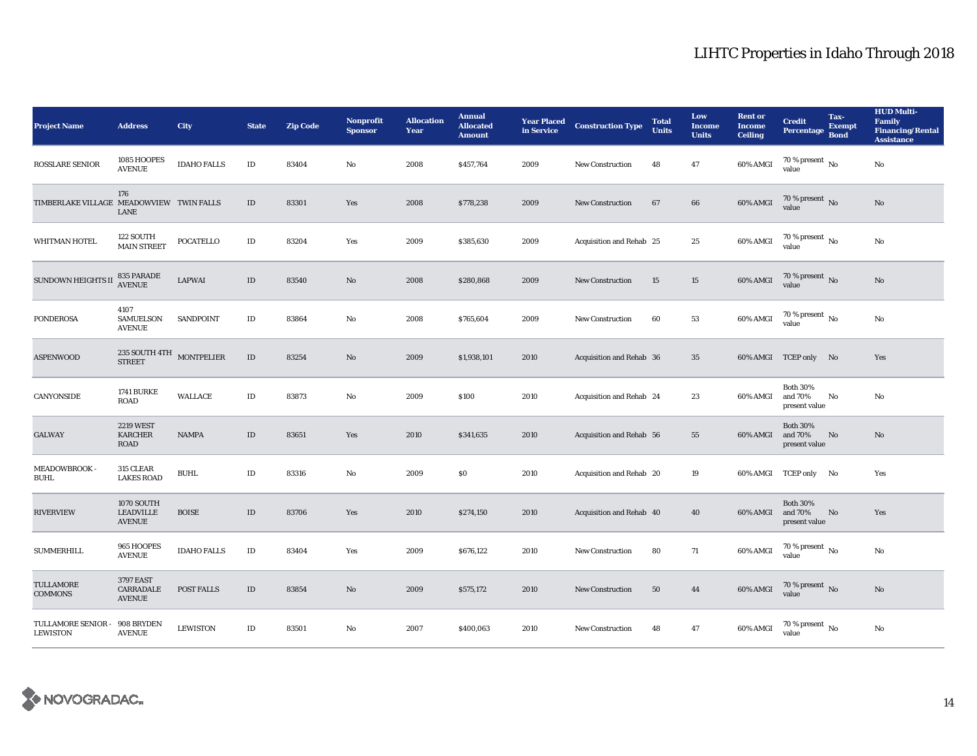| <b>Project Name</b>                      | <b>Address</b>                                    | City               | <b>State</b> | <b>Zip Code</b> | <b>Nonprofit</b><br><b>Sponsor</b> | <b>Allocation</b><br>Year | <b>Annual</b><br><b>Allocated</b><br><b>Amount</b> | <b>Year Placed</b><br>in Service | <b>Construction Type</b> | <b>Total</b><br><b>Units</b> | Low<br><b>Income</b><br><b>Units</b> | <b>Rent or</b><br><b>Income</b><br><b>Ceiling</b> | <b>Credit</b><br><b>Percentage</b>          | Tax-<br><b>Exempt</b><br><b>Bond</b> | <b>HUD Multi-</b><br><b>Family</b><br><b>Financing/Rental</b><br><b>Assistance</b> |
|------------------------------------------|---------------------------------------------------|--------------------|--------------|-----------------|------------------------------------|---------------------------|----------------------------------------------------|----------------------------------|--------------------------|------------------------------|--------------------------------------|---------------------------------------------------|---------------------------------------------|--------------------------------------|------------------------------------------------------------------------------------|
| <b>ROSSLARE SENIOR</b>                   | 1085 HOOPES<br><b>AVENUE</b>                      | <b>IDAHO FALLS</b> | ID           | 83404           | No                                 | 2008                      | \$457,764                                          | 2009                             | <b>New Construction</b>  | 48                           | 47                                   | 60% AMGI                                          | $70$ % present $\,$ No $\,$<br>value        |                                      | No                                                                                 |
| TIMBERLAKE VILLAGE MEADOWVIEW TWIN FALLS | 176<br>LANE                                       |                    | $\rm ID$     | 83301           | Yes                                | 2008                      | \$778,238                                          | 2009                             | <b>New Construction</b>  | 67                           | 66                                   | 60% AMGI                                          | $70$ % present $\,$ No value                |                                      | No                                                                                 |
| WHITMAN HOTEL                            | 122 SOUTH<br><b>MAIN STREET</b>                   | <b>POCATELLO</b>   | $\rm ID$     | 83204           | Yes                                | 2009                      | \$385,630                                          | 2009                             | Acquisition and Rehab 25 |                              | 25                                   | 60% AMGI                                          | $70$ % present $\,$ $_{\rm No}$<br>value    |                                      | No                                                                                 |
| <b>SUNDOWN HEIGHTS II</b>                | 835 PARADE<br><b>AVENUE</b>                       | <b>LAPWAI</b>      | $\rm ID$     | 83540           | $\mathbf{N}\mathbf{o}$             | 2008                      | \$280,868                                          | 2009                             | <b>New Construction</b>  | 15                           | 15                                   | 60% AMGI                                          | 70 % present $\overline{N}$<br>value        |                                      | No                                                                                 |
| <b>PONDEROSA</b>                         | 4107<br>SAMUELSON<br><b>AVENUE</b>                | SANDPOINT          | $\rm ID$     | 83864           | No                                 | 2008                      | \$765,604                                          | 2009                             | <b>New Construction</b>  | 60                           | 53                                   | 60% AMGI                                          | $70$ % present $\,$ No $\,$<br>value        |                                      | No                                                                                 |
| <b>ASPENWOOD</b>                         | $235$ SOUTH $4 \mathrm{TH}$ $$\,$ MONTPELIER $\,$ |                    | $\rm ID$     | 83254           | $\mathbf{N}\mathbf{o}$             | 2009                      | \$1,938,101                                        | 2010                             | Acquisition and Rehab 36 |                              | 35                                   |                                                   | 60% AMGI TCEP only No                       |                                      | Yes                                                                                |
| CANYONSIDE                               | <b>1741 BURKE</b><br><b>ROAD</b>                  | WALLACE            | $\rm ID$     | 83873           | $\mathbf{N}\mathbf{o}$             | 2009                      | \$100                                              | 2010                             | Acquisition and Rehab 24 |                              | 23                                   | 60% AMGI                                          | <b>Both 30%</b><br>and 70%<br>present value | No                                   | No                                                                                 |
| <b>GALWAY</b>                            | <b>2219 WEST</b><br>KARCHER<br>ROAD               | <b>NAMPA</b>       | $\rm ID$     | 83651           | Yes                                | 2010                      | \$341,635                                          | 2010                             | Acquisition and Rehab 56 |                              | 55                                   | 60% AMGI                                          | <b>Both 30%</b><br>and 70%<br>present value | No                                   | No                                                                                 |
| MEADOWBROOK -<br><b>BUHL</b>             | 315 CLEAR<br><b>LAKES ROAD</b>                    | <b>BUHL</b>        | $\rm ID$     | 83316           | No                                 | 2009                      | $\$0$                                              | 2010                             | Acquisition and Rehab 20 |                              | 19                                   | 60% AMGI                                          | TCEP only No                                |                                      | Yes                                                                                |
| <b>RIVERVIEW</b>                         | 1070 SOUTH<br><b>LEADVILLE</b><br><b>AVENUE</b>   | <b>BOISE</b>       | $\rm ID$     | 83706           | Yes                                | 2010                      | \$274,150                                          | 2010                             | Acquisition and Rehab 40 |                              | 40                                   | 60% AMGI                                          | <b>Both 30%</b><br>and 70%<br>present value | $\mathbf{N}\mathbf{o}$               | Yes                                                                                |
| <b>SUMMERHILL</b>                        | 965 HOOPES<br><b>AVENUE</b>                       | <b>IDAHO FALLS</b> | $\rm ID$     | 83404           | Yes                                | 2009                      | \$676,122                                          | 2010                             | <b>New Construction</b>  | 80                           | 71                                   | 60% AMGI                                          | $70$ % present $\,$ No $\,$<br>value        |                                      | No                                                                                 |
| <b>TULLAMORE</b><br><b>COMMONS</b>       | 3797 EAST<br>CARRADALE<br><b>AVENUE</b>           | <b>POST FALLS</b>  | ID           | 83854           | No                                 | 2009                      | \$575,172                                          | 2010                             | <b>New Construction</b>  | 50                           | 44                                   | 60% AMGI                                          | $70\,\%$ present $\,$ No value              |                                      | No                                                                                 |
| TULLAMORE SENIOR -<br><b>LEWISTON</b>    | 908 BRYDEN<br><b>AVENUE</b>                       | <b>LEWISTON</b>    | $\rm ID$     | 83501           | No                                 | 2007                      | \$400,063                                          | 2010                             | <b>New Construction</b>  | 48                           | 47                                   | 60% AMGI                                          | 70 % present $\,$ No $\,$<br>value          |                                      | No                                                                                 |

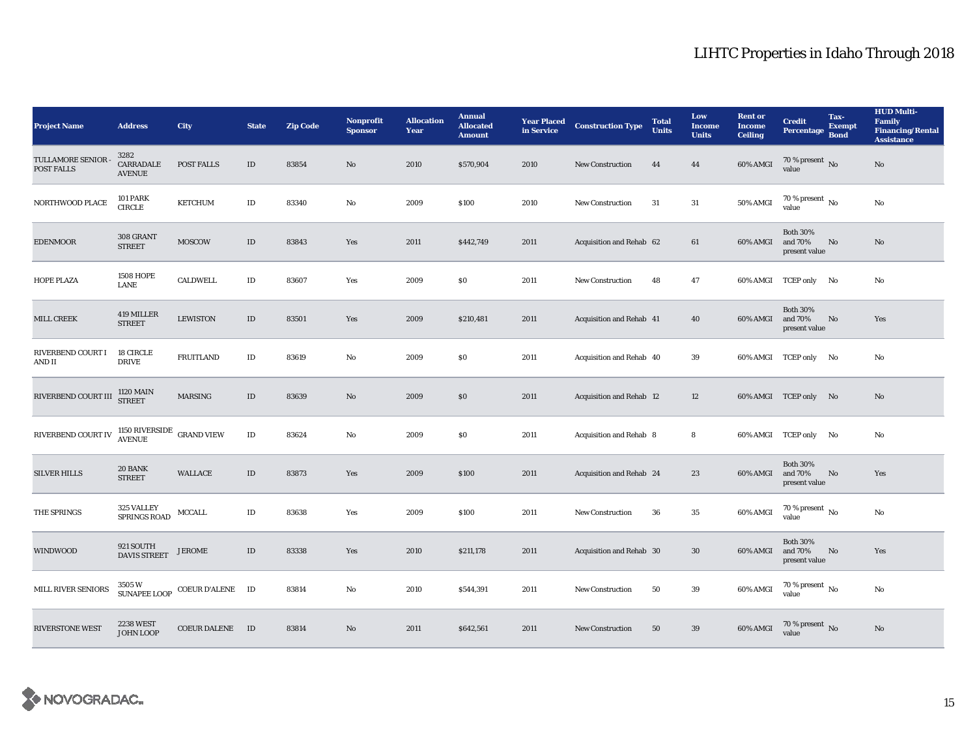| <b>Project Name</b>            | <b>Address</b>                                    | <b>City</b>                                                                                                                                                | <b>State</b> | <b>Zip Code</b> | <b>Nonprofit</b><br><b>Sponsor</b> | <b>Allocation</b><br>Year | <b>Annual</b><br><b>Allocated</b><br><b>Amount</b> | <b>Year Placed<br/>in Service</b> | <b>Construction Type</b>        | <b>Total</b><br><b>Units</b> | Low<br><b>Income</b><br><b>Units</b> | <b>Rent or</b><br><b>Income</b><br><b>Ceiling</b> | <b>Credit</b><br>Percentage Bond            | Tax-<br><b>Exempt</b> | <b>HUD Multi-</b><br>Family<br><b>Financing/Rental</b><br><b>Assistance</b> |
|--------------------------------|---------------------------------------------------|------------------------------------------------------------------------------------------------------------------------------------------------------------|--------------|-----------------|------------------------------------|---------------------------|----------------------------------------------------|-----------------------------------|---------------------------------|------------------------------|--------------------------------------|---------------------------------------------------|---------------------------------------------|-----------------------|-----------------------------------------------------------------------------|
| TULLAMORE SENIOR<br>POST FALLS | 3282<br>CARRADALE<br><b>AVENUE</b>                | POST FALLS                                                                                                                                                 | $\rm ID$     | 83854           | No                                 | 2010                      | \$570,904                                          | 2010                              | New Construction                | 44                           | 44                                   | 60% AMGI                                          | $70\,\%$ present $\,$ No value              |                       | $\mathbf{N}\mathbf{o}$                                                      |
| NORTHWOOD PLACE                | <b>101 PARK</b><br><b>CIRCLE</b>                  | <b>KETCHUM</b>                                                                                                                                             | $\rm ID$     | 83340           | No                                 | 2009                      | \$100                                              | 2010                              | New Construction                | 31                           | $31\,$                               | <b>50% AMGI</b>                                   | $70$ % present $\,$ No value                |                       | $\rm No$                                                                    |
| <b>EDENMOOR</b>                | 308 GRANT<br><b>STREET</b>                        | <b>MOSCOW</b>                                                                                                                                              | $\rm ID$     | 83843           | Yes                                | 2011                      | \$442,749                                          | 2011                              | Acquisition and Rehab 62        |                              | 61                                   | 60% AMGI                                          | <b>Both 30%</b><br>and 70%<br>present value | No                    | No                                                                          |
| HOPE PLAZA                     | <b>1508 HOPE</b><br>LANE                          | <b>CALDWELL</b>                                                                                                                                            | $\rm ID$     | 83607           | Yes                                | 2009                      | $\$0$                                              | 2011                              | <b>New Construction</b>         | 48                           | 47                                   |                                                   | 60% AMGI TCEP only No                       |                       | No                                                                          |
| MILL CREEK                     | 419 MILLER<br><b>STREET</b>                       | <b>LEWISTON</b>                                                                                                                                            | $\rm ID$     | 83501           | Yes                                | 2009                      | \$210,481                                          | 2011                              | Acquisition and Rehab 41        |                              | 40                                   | 60% AMGI                                          | <b>Both 30%</b><br>and 70%<br>present value | No                    | Yes                                                                         |
| RIVERBEND COURT I<br>AND II    | 18 CIRCLE<br><b>DRIVE</b>                         | <b>FRUITLAND</b>                                                                                                                                           | $\rm ID$     | 83619           | No                                 | 2009                      | \$0                                                | 2011                              | Acquisition and Rehab 40        |                              | 39                                   |                                                   | 60% AMGI TCEP only No                       |                       | No                                                                          |
| RIVERBEND COURT III            | 1120 MAIN<br>STREET                               | MARSING                                                                                                                                                    | $\rm ID$     | 83639           | No                                 | 2009                      | \$0                                                | 2011                              | <b>Acquisition and Rehab 12</b> |                              | 12                                   |                                                   | 60% AMGI TCEP only No                       |                       | No                                                                          |
| RIVERBEND COURT IV             | $1150$ RIVERSIDE $\:$ GRAND VIEW $\:$ AVENUE $\:$ |                                                                                                                                                            | $\rm ID$     | 83624           | No                                 | 2009                      | \$0                                                | 2011                              | Acquisition and Rehab 8         |                              | 8                                    |                                                   | 60% AMGI TCEP only No                       |                       | No                                                                          |
| <b>SILVER HILLS</b>            | 20 BANK<br><b>STREET</b>                          | WALLACE                                                                                                                                                    | $\rm ID$     | 83873           | Yes                                | 2009                      | \$100                                              | 2011                              | Acquisition and Rehab 24        |                              | 23                                   | 60% AMGI                                          | <b>Both 30%</b><br>and 70%<br>present value | No                    | Yes                                                                         |
| THE SPRINGS                    | 325 VALLEY<br>SPRINGS ROAD                        | <b>MCCALL</b>                                                                                                                                              | $\rm ID$     | 83638           | Yes                                | 2009                      | \$100                                              | 2011                              | <b>New Construction</b>         | 36                           | 35                                   | $60\%$ AMGI                                       | $70$ % present $\,$ No $\,$<br>value        |                       | No                                                                          |
| <b>WINDWOOD</b>                | 921 SOUTH<br>DAVIS STREET                         | <b>JEROME</b>                                                                                                                                              | $\rm ID$     | 83338           | Yes                                | 2010                      | \$211,178                                          | 2011                              | Acquisition and Rehab 30        |                              | 30                                   | 60% AMGI                                          | <b>Both 30%</b><br>and 70%<br>present value | No                    | Yes                                                                         |
| MILL RIVER SENIORS             |                                                   | $3505\,\mathrm{W}$ $\begin{array}{lll} \mathrm{COEUR\;D'ALENE} & \mathrm{ID} \\ \mathrm{SUNAPE\;LOOP} & \mathrm{COEUR\;D'ALENE} & \mathrm{ID} \end{array}$ |              | 83814           | No                                 | 2010                      | \$544,391                                          | 2011                              | New Construction                | 50                           | 39                                   | 60% AMGI                                          | $70\,\%$ present $\,$ No value              |                       | No                                                                          |
| <b>RIVERSTONE WEST</b>         | <b>2238 WEST</b><br><b>JOHN LOOP</b>              | COEUR DALENE ID                                                                                                                                            |              | 83814           | No                                 | 2011                      | \$642,561                                          | 2011                              | <b>New Construction</b>         | 50                           | 39                                   | 60% AMGI                                          | 70 % present $\,$ No $\,$<br>value          |                       | $\rm No$                                                                    |

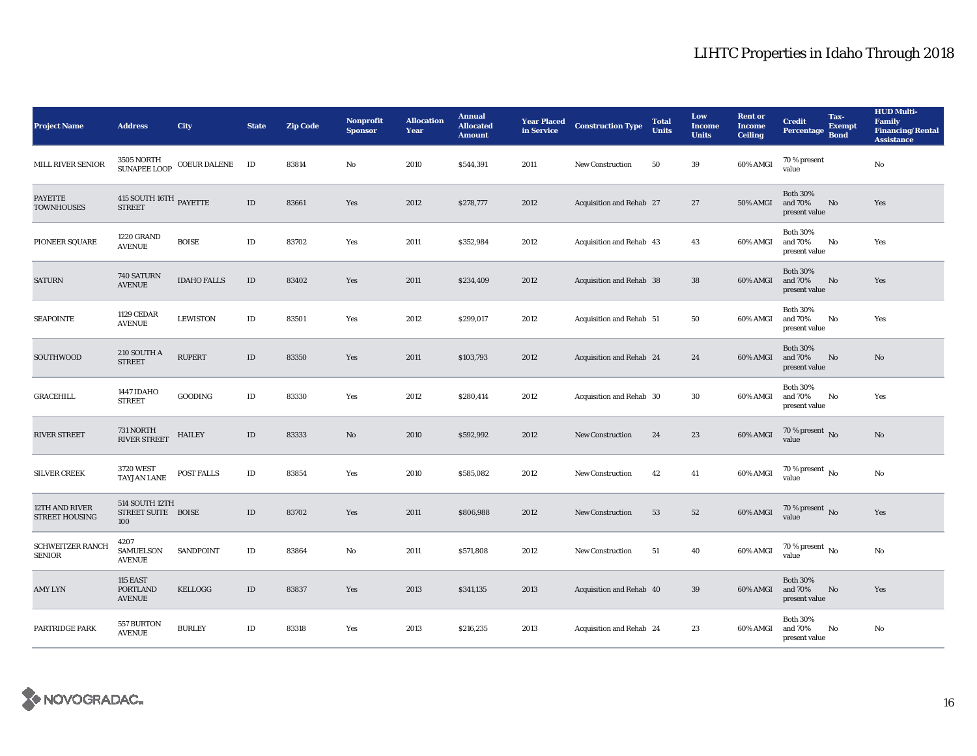| <b>Project Name</b>                      | <b>Address</b>                                      | City                      | <b>State</b> | <b>Zip Code</b> | <b>Nonprofit</b><br><b>Sponsor</b> | <b>Allocation</b><br>Year | <b>Annual</b><br><b>Allocated</b><br><b>Amount</b> | <b>Year Placed</b><br>in Service | <b>Construction Type</b> | <b>Total</b><br><b>Units</b> | Low<br><b>Income</b><br><b>Units</b> | <b>Rent or</b><br><b>Income</b><br><b>Ceiling</b> | <b>Credit</b><br>Percentage                 | Tax-<br><b>Exempt</b><br><b>Bond</b> | <b>HUD Multi-</b><br><b>Family</b><br><b>Financing/Rental</b><br><b>Assistance</b> |
|------------------------------------------|-----------------------------------------------------|---------------------------|--------------|-----------------|------------------------------------|---------------------------|----------------------------------------------------|----------------------------------|--------------------------|------------------------------|--------------------------------------|---------------------------------------------------|---------------------------------------------|--------------------------------------|------------------------------------------------------------------------------------|
| <b>MILL RIVER SENIOR</b>                 |                                                     | SUNAPEE LOOP COEUR DALENE | ID           | 83814           | No                                 | 2010                      | \$544,391                                          | 2011                             | <b>New Construction</b>  | 50                           | 39                                   | 60% AMGI                                          | 70 % present<br>value                       |                                      | No                                                                                 |
| <b>PAYETTE</b><br><b>TOWNHOUSES</b>      | $415$ SOUTH $16\mathrm{TH}$ $\,$ PAYETTE STREET     |                           | $\rm ID$     | 83661           | Yes                                | 2012                      | \$278,777                                          | 2012                             | Acquisition and Rehab 27 |                              | 27                                   | 50% AMGI                                          | <b>Both 30%</b><br>and 70%<br>present value | No                                   | Yes                                                                                |
| PIONEER SQUARE                           | 1220 GRAND<br><b>AVENUE</b>                         | <b>BOISE</b>              | $\rm ID$     | 83702           | Yes                                | 2011                      | \$352,984                                          | 2012                             | Acquisition and Rehab 43 |                              | 43                                   | 60% AMGI                                          | <b>Both 30%</b><br>and 70%<br>present value | No                                   | Yes                                                                                |
| <b>SATURN</b>                            | <b>740 SATURN</b><br><b>AVENUE</b>                  | <b>IDAHO FALLS</b>        | $\rm ID$     | 83402           | Yes                                | 2011                      | \$234,409                                          | 2012                             | Acquisition and Rehab 38 |                              | 38                                   | 60% AMGI                                          | <b>Both 30%</b><br>and 70%<br>present value | No                                   | Yes                                                                                |
| <b>SEAPOINTE</b>                         | <b>1129 CEDAR</b><br><b>AVENUE</b>                  | <b>LEWISTON</b>           | ID           | 83501           | Yes                                | 2012                      | \$299,017                                          | 2012                             | Acquisition and Rehab 51 |                              | 50                                   | 60% AMGI                                          | <b>Both 30%</b><br>and 70%<br>present value | No                                   | Yes                                                                                |
| <b>SOUTHWOOD</b>                         | 210 SOUTH A<br><b>STREET</b>                        | <b>RUPERT</b>             | $\rm ID$     | 83350           | Yes                                | 2011                      | \$103,793                                          | 2012                             | Acquisition and Rehab 24 |                              | 24                                   | 60% AMGI                                          | <b>Both 30%</b><br>and 70%<br>present value | No                                   | No                                                                                 |
| <b>GRACEHILL</b>                         | 1447 IDAHO<br><b>STREET</b>                         | <b>GOODING</b>            | ID           | 83330           | Yes                                | 2012                      | \$280,414                                          | 2012                             | Acquisition and Rehab 30 |                              | 30                                   | 60% AMGI                                          | <b>Both 30%</b><br>and 70%<br>present value | No                                   | Yes                                                                                |
| <b>RIVER STREET</b>                      | 731 NORTH<br>RIVER STREET                           | <b>HAILEY</b>             | $\rm ID$     | 83333           | No                                 | 2010                      | \$592,992                                          | 2012                             | <b>New Construction</b>  | 24                           | 23                                   | 60% AMGI                                          | $70\,\%$ present $\,$ No value              |                                      | No                                                                                 |
| <b>SILVER CREEK</b>                      | 3720 WEST<br><b>TAYJAN LANE</b>                     | POST FALLS                | ID           | 83854           | Yes                                | 2010                      | \$585,082                                          | 2012                             | <b>New Construction</b>  | 42                           | 41                                   | 60% AMGI                                          | 70 % present $\,$ No $\,$<br>value          |                                      | No                                                                                 |
| 12TH AND RIVER<br><b>STREET HOUSING</b>  | 514 SOUTH 12TH<br>STREET SUITE BOISE<br>100         |                           | $\rm ID$     | 83702           | Yes                                | 2011                      | \$806,988                                          | 2012                             | <b>New Construction</b>  | 53                           | 52                                   | 60% AMGI                                          | 70 % present $\,$ No $\,$<br>value          |                                      | Yes                                                                                |
| <b>SCHWEITZER RANCH</b><br><b>SENIOR</b> | 4207<br><b>SAMUELSON</b><br><b>AVENUE</b>           | SANDPOINT                 | $\rm ID$     | 83864           | No                                 | 2011                      | \$571,808                                          | 2012                             | <b>New Construction</b>  | 51                           | 40                                   | 60% AMGI                                          | $70\%$ present $\overline{N_0}$<br>value    |                                      | No                                                                                 |
| <b>AMY LYN</b>                           | <b>115 EAST</b><br><b>PORTLAND</b><br><b>AVENUE</b> | KELLOGG                   | $\rm ID$     | 83837           | Yes                                | 2013                      | \$341,135                                          | 2013                             | Acquisition and Rehab 40 |                              | 39                                   | 60% AMGI                                          | <b>Both 30%</b><br>and 70%<br>present value | No                                   | Yes                                                                                |
| <b>PARTRIDGE PARK</b>                    | 557 BURTON<br><b>AVENUE</b>                         | <b>BURLEY</b>             | $\rm ID$     | 83318           | Yes                                | 2013                      | \$216,235                                          | 2013                             | Acquisition and Rehab 24 |                              | 23                                   | 60% AMGI                                          | <b>Both 30%</b><br>and 70%<br>present value | No                                   | No                                                                                 |

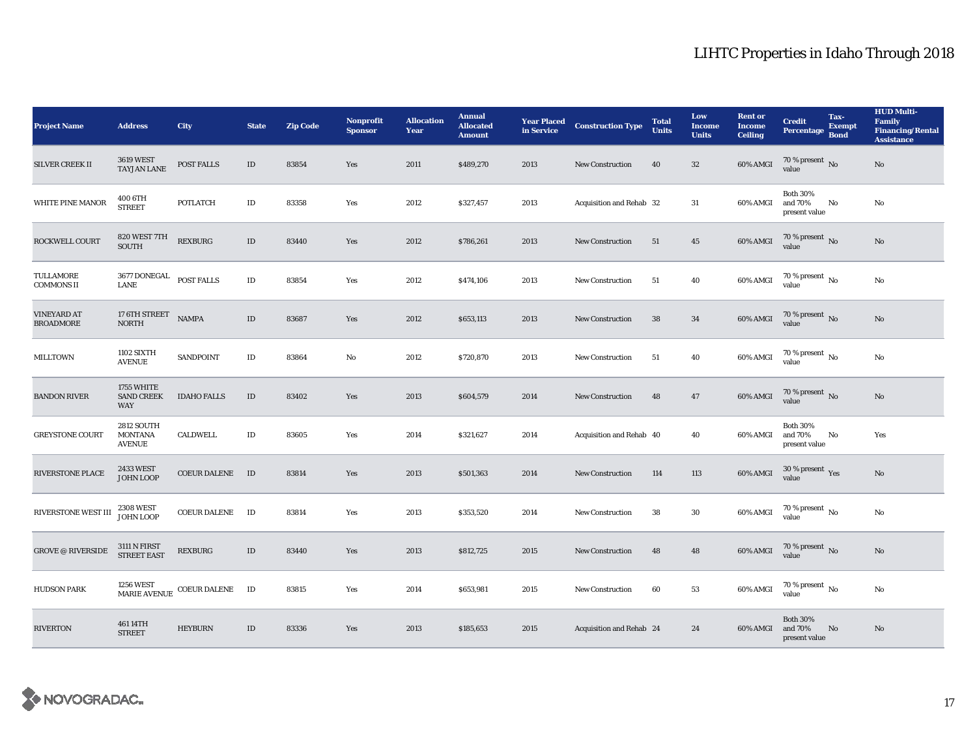| <b>Project Name</b>                    | <b>Address</b>                                                                                    | <b>City</b>         | <b>State</b> | <b>Zip Code</b> | <b>Nonprofit</b><br><b>Sponsor</b> | <b>Allocation</b><br>Year | <b>Annual</b><br><b>Allocated</b><br><b>Amount</b> | <b>Year Placed</b><br>in Service | <b>Construction Type</b> | <b>Total</b><br><b>Units</b> | Low<br><b>Income</b><br><b>Units</b> | <b>Rent or</b><br><b>Income</b><br><b>Ceiling</b> | <b>Credit</b><br>Percentage Bond                    | Tax-<br><b>Exempt</b> | <b>HUD Multi-</b><br><b>Family</b><br><b>Financing/Rental</b><br><b>Assistance</b> |
|----------------------------------------|---------------------------------------------------------------------------------------------------|---------------------|--------------|-----------------|------------------------------------|---------------------------|----------------------------------------------------|----------------------------------|--------------------------|------------------------------|--------------------------------------|---------------------------------------------------|-----------------------------------------------------|-----------------------|------------------------------------------------------------------------------------|
| <b>SILVER CREEK II</b>                 | <b>3619 WEST</b><br>TAYJAN LANE                                                                   | POST FALLS          | $\rm ID$     | 83854           | Yes                                | 2011                      | \$489,270                                          | 2013                             | <b>New Construction</b>  | 40                           | $32\,$                               | 60% AMGI                                          | $70\%$ present No<br>value                          |                       | $\mathbf{No}$                                                                      |
| WHITE PINE MANOR                       | 400 6TH<br><b>STREET</b>                                                                          | <b>POTLATCH</b>     | $\rm ID$     | 83358           | Yes                                | 2012                      | \$327,457                                          | 2013                             | Acquisition and Rehab 32 |                              | 31                                   | 60% AMGI                                          | <b>Both 30%</b><br>and 70%<br>present value         | No                    | No                                                                                 |
| ROCKWELL COURT                         | 820 WEST 7TH<br><b>SOUTH</b>                                                                      | <b>REXBURG</b>      | $\rm ID$     | 83440           | Yes                                | 2012                      | \$786,261                                          | 2013                             | New Construction         | 51                           | 45                                   | 60% AMGI                                          | $70$ % present $\,$ No value                        |                       | $\rm No$                                                                           |
| TULLAMORE<br><b>COMMONS II</b>         | $3677$ DONEGAL $$\tt POST\, FALLS$$                                                               |                     | $\rm ID$     | 83854           | Yes                                | 2012                      | \$474,106                                          | 2013                             | New Construction         | 51                           | 40                                   | 60% AMGI                                          | $70$ % present $\,$ No value                        |                       | No                                                                                 |
| <b>VINEYARD AT</b><br><b>BROADMORE</b> | $17$ $6 \mathrm{TH}$ $S \mathrm{T} \mathrm{R} \mathrm{E} \mathrm{E} \mathrm{T}$ $$\,$ NAMPA NORTH |                     | $\rm ID$     | 83687           | Yes                                | 2012                      | \$653,113                                          | 2013                             | New Construction         | 38                           | 34                                   | $60\%$ AMGI                                       | $70$ % present $\,$ No value                        |                       | $\rm No$                                                                           |
| <b>MILLTOWN</b>                        | <b>1102 SIXTH</b><br><b>AVENUE</b>                                                                | SANDPOINT           | $\rm ID$     | 83864           | No                                 | 2012                      | \$720,870                                          | 2013                             | <b>New Construction</b>  | 51                           | 40                                   | 60% AMGI                                          | $\frac{70 \text{ %} \times 10000}{\text{value}}$ No |                       | $\mathbf{N}\mathbf{o}$                                                             |
| <b>BANDON RIVER</b>                    | 1755 WHITE<br><b>SAND CREEK</b><br>WAY                                                            | <b>IDAHO FALLS</b>  | $\rm ID$     | 83402           | Yes                                | 2013                      | \$604,579                                          | 2014                             | <b>New Construction</b>  | 48                           | 47                                   | 60% AMGI                                          | $70$ % present $\,$ No value                        |                       | No                                                                                 |
| <b>GREYSTONE COURT</b>                 | 2812 SOUTH<br><b>MONTANA</b><br><b>AVENUE</b>                                                     | CALDWELL            | $\rm ID$     | 83605           | Yes                                | 2014                      | \$321,627                                          | 2014                             | Acquisition and Rehab 40 |                              | 40                                   | 60% AMGI                                          | <b>Both 30%</b><br>and 70%<br>present value         | No                    | Yes                                                                                |
| RIVERSTONE PLACE                       | <b>2433 WEST</b><br>JOHN LOOP                                                                     | COEUR DALENE ID     |              | 83814           | Yes                                | 2013                      | \$501,363                                          | 2014                             | <b>New Construction</b>  | 114                          | $113\,$                              | 60% AMGI                                          | $30\,\%$ present $\,\mathrm{Yes}$ value             |                       | No                                                                                 |
| RIVERSTONE WEST III                    | <b>2308 WEST</b><br><b>JOHN LOOP</b>                                                              | <b>COEUR DALENE</b> | ID           | 83814           | Yes                                | 2013                      | \$353,520                                          | 2014                             | New Construction         | 38                           | $30\,$                               | 60% AMGI                                          | $70\,\%$ present $\,$ No value                      |                       | $\rm No$                                                                           |
| <b>GROVE @ RIVERSIDE</b>               | <b>3111 N FIRST</b><br><b>STREET EAST</b>                                                         | <b>REXBURG</b>      | $\rm ID$     | 83440           | Yes                                | 2013                      | \$812,725                                          | 2015                             | New Construction         | 48                           | 48                                   | 60% AMGI                                          | $70\,\%$ present $\,$ No value                      |                       | $\mathbf{No}$                                                                      |
| <b>HUDSON PARK</b>                     | <b>1256 WEST</b><br><b>MARIE AVENUE</b>                                                           | COEUR DALENE ID     |              | 83815           | Yes                                | 2014                      | \$653,981                                          | 2015                             | New Construction         | 60                           | 53                                   | 60% AMGI                                          | $70\,\%$ present $\,$ No value                      |                       | No                                                                                 |
| <b>RIVERTON</b>                        | 461 14TH<br><b>STREET</b>                                                                         | <b>HEYBURN</b>      | $\rm ID$     | 83336           | Yes                                | 2013                      | \$185,653                                          | 2015                             | Acquisition and Rehab 24 |                              | 24                                   | 60% AMGI                                          | <b>Both 30%</b><br>and 70%<br>present value         | No                    | No                                                                                 |

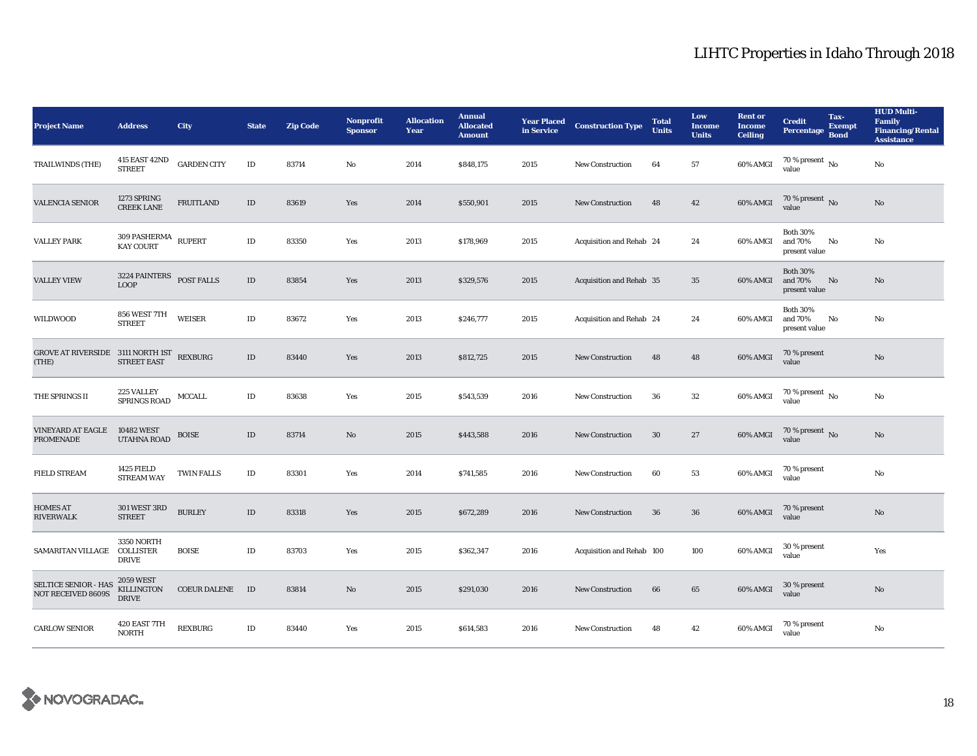| <b>Project Name</b>                                                                                                                              | <b>Address</b>                                 | <b>City</b>         | <b>State</b> | <b>Zip Code</b> | <b>Nonprofit</b><br><b>Sponsor</b> | <b>Allocation</b><br>Year | <b>Annual</b><br><b>Allocated</b><br><b>Amount</b> | <b>Year Placed</b><br>in Service | <b>Construction Type</b>  | <b>Total</b><br><b>Units</b> | Low<br>Income<br><b>Units</b> | <b>Rent or</b><br><b>Income</b><br><b>Ceiling</b> | <b>Credit</b><br><b>Percentage</b>          | Tax-<br><b>Exempt</b><br><b>Bond</b> | <b>HUD Multi-</b><br><b>Family</b><br><b>Financing/Rental</b><br><b>Assistance</b> |
|--------------------------------------------------------------------------------------------------------------------------------------------------|------------------------------------------------|---------------------|--------------|-----------------|------------------------------------|---------------------------|----------------------------------------------------|----------------------------------|---------------------------|------------------------------|-------------------------------|---------------------------------------------------|---------------------------------------------|--------------------------------------|------------------------------------------------------------------------------------|
| <b>TRAILWINDS (THE)</b>                                                                                                                          | 415 EAST 42ND<br><b>STREET</b>                 | <b>GARDEN CITY</b>  | $\rm ID$     | 83714           | No                                 | 2014                      | \$848,175                                          | 2015                             | <b>New Construction</b>   | 64                           | 57                            | 60% AMGI                                          | $70$ % present $\,$ No $\,$<br>value        |                                      | No                                                                                 |
| <b>VALENCIA SENIOR</b>                                                                                                                           | 1273 SPRING<br><b>CREEK LANE</b>               | <b>FRUITLAND</b>    | $\rm ID$     | 83619           | Yes                                | 2014                      | \$550,901                                          | 2015                             | New Construction          | 48                           | 42                            | 60% AMGI                                          | $70$ % present $\,$ No value                |                                      | $\mathbf{N}\mathbf{o}$                                                             |
| <b>VALLEY PARK</b>                                                                                                                               | $309$ PASHERMA $\,$ RUPERT KAY COURT           |                     | $\rm ID$     | 83350           | Yes                                | 2013                      | \$178,969                                          | 2015                             | Acquisition and Rehab 24  |                              | 24                            | 60% AMGI                                          | <b>Both 30%</b><br>and 70%<br>present value | No                                   | No                                                                                 |
| <b>VALLEY VIEW</b>                                                                                                                               | 3224 PAINTERS POST FALLS<br><b>LOOP</b>        |                     | $\rm ID$     | 83854           | Yes                                | 2013                      | \$329,576                                          | 2015                             | Acquisition and Rehab 35  |                              | 35                            | 60% AMGI                                          | <b>Both 30%</b><br>and 70%<br>present value | $\mathbf{N}\mathbf{o}$               | No                                                                                 |
| <b>WILDWOOD</b>                                                                                                                                  | 856 WEST 7TH<br><b>STREET</b>                  | <b>WEISER</b>       | $\rm ID$     | 83672           | Yes                                | 2013                      | \$246,777                                          | 2015                             | Acquisition and Rehab 24  |                              | 24                            | 60% AMGI                                          | <b>Both 30%</b><br>and 70%<br>present value | No                                   | No                                                                                 |
| $\begin{tabular}{ll} \bf{GROVE AT RIVERSIDE} & \bf{3111 NORTH IST} & \bf{REXBURG} \\ \bf{(THE)} & \bf{STREET EAST} & \bf{REXBURG} \end{tabular}$ |                                                |                     | ID           | 83440           | Yes                                | 2013                      | \$812,725                                          | 2015                             | <b>New Construction</b>   | 48                           | 48                            | 60% AMGI                                          | 70 % present<br>value                       |                                      | No                                                                                 |
| THE SPRINGS II                                                                                                                                   | <b>225 VALLEY</b><br><b>SPRINGS ROAD</b>       | MCCALL              | $\rm ID$     | 83638           | Yes                                | 2015                      | \$543,539                                          | 2016                             | <b>New Construction</b>   | 36                           | 32                            | 60% AMGI                                          | 70 % present $\,$ No $\,$<br>value          |                                      | No                                                                                 |
| <b>VINEYARD AT EAGLE</b><br><b>PROMENADE</b>                                                                                                     | <b>10482 WEST</b><br>UTAHNA ROAD               | <b>BOISE</b>        | ID           | 83714           | No                                 | 2015                      | \$443,588                                          | 2016                             | <b>New Construction</b>   | 30                           | 27                            | 60% AMGI                                          | $70$ % present $\,$ No value                |                                      | No                                                                                 |
| <b>FIELD STREAM</b>                                                                                                                              | <b>1425 FIELD</b><br><b>STREAM WAY</b>         | <b>TWIN FALLS</b>   | $\rm ID$     | 83301           | Yes                                | 2014                      | \$741,585                                          | 2016                             | New Construction          | 60                           | 53                            | 60% AMGI                                          | 70 % present<br>value                       |                                      | No                                                                                 |
| <b>HOMES AT</b><br><b>RIVERWALK</b>                                                                                                              | <b>301 WEST 3RD</b><br><b>STREET</b>           | <b>BURLEY</b>       | $\rm ID$     | 83318           | Yes                                | 2015                      | \$672,289                                          | 2016                             | <b>New Construction</b>   | 36                           | $36\,$                        | 60% AMGI                                          | 70 % present<br>value                       |                                      | $\rm No$                                                                           |
| SAMARITAN VILLAGE                                                                                                                                | 3350 NORTH<br><b>COLLISTER</b><br><b>DRIVE</b> | <b>BOISE</b>        | ID           | 83703           | Yes                                | 2015                      | \$362,347                                          | 2016                             | Acquisition and Rehab 100 |                              | 100                           | 60% AMGI                                          | 30 % present<br>value                       |                                      | Yes                                                                                |
| <b>SELTICE SENIOR - HAS</b><br>NOT RECEIVED 8609S                                                                                                | <b>2059 WEST</b><br>KILLINGTON<br><b>DRIVE</b> | <b>COEUR DALENE</b> | ID           | 83814           | No                                 | 2015                      | \$291,030                                          | 2016                             | <b>New Construction</b>   | 66                           | 65                            | 60% AMGI                                          | 30 % present<br>value                       |                                      | No                                                                                 |
| <b>CARLOW SENIOR</b>                                                                                                                             | 420 EAST 7TH<br><b>NORTH</b>                   | REXBURG             | $\rm ID$     | 83440           | Yes                                | 2015                      | \$614,583                                          | 2016                             | <b>New Construction</b>   | 48                           | 42                            | 60% AMGI                                          | 70 % present<br>value                       |                                      | No                                                                                 |

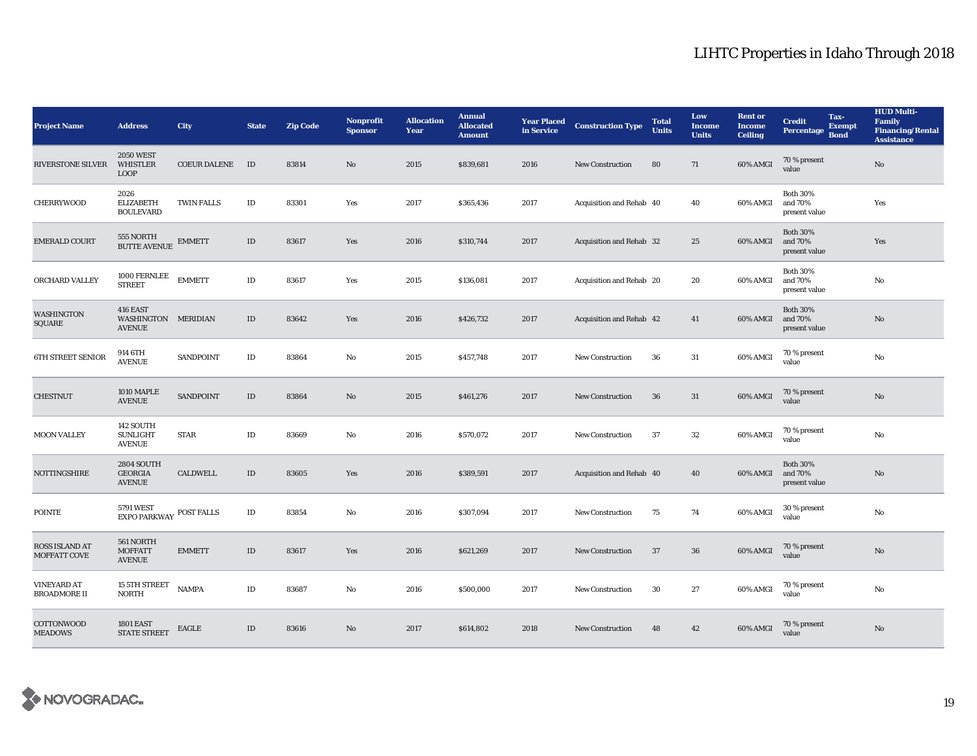| <b>Project Name</b>                       | <b>Address</b>                                       | <b>City</b>         | <b>State</b> | <b>Zip Code</b> | <b>Nonprofit</b><br><b>Sponsor</b> | <b>Allocation</b><br>Year | <b>Annual</b><br><b>Allocated</b><br><b>Amount</b> | <b>Year Placed</b><br>in Service | <b>Construction Type</b> | <b>Total</b><br><b>Units</b> | Low<br><b>Income</b><br><b>Units</b> | <b>Rent</b> or<br><b>Income</b><br><b>Ceiling</b> | <b>Credit</b><br>Percentage                 | Tax-<br><b>Exempt</b><br><b>Bond</b> | <b>HUD Multi-</b><br><b>Family</b><br><b>Financing/Rental</b><br><b>Assistance</b> |
|-------------------------------------------|------------------------------------------------------|---------------------|--------------|-----------------|------------------------------------|---------------------------|----------------------------------------------------|----------------------------------|--------------------------|------------------------------|--------------------------------------|---------------------------------------------------|---------------------------------------------|--------------------------------------|------------------------------------------------------------------------------------|
| <b>RIVERSTONE SILVER</b>                  | <b>2050 WEST</b><br><b>WHISTLER</b><br><b>LOOP</b>   | <b>COEUR DALENE</b> | ID           | 83814           | No                                 | 2015                      | \$839,681                                          | 2016                             | <b>New Construction</b>  | 80                           | 71                                   | 60% AMGI                                          | 70 % present<br>value                       |                                      | $\rm No$                                                                           |
| <b>CHERRYWOOD</b>                         | 2026<br><b>ELIZABETH</b><br><b>BOULEVARD</b>         | <b>TWIN FALLS</b>   | $\rm ID$     | 83301           | Yes                                | 2017                      | \$365,436                                          | 2017                             | Acquisition and Rehab 40 |                              | 40                                   | 60% AMGI                                          | <b>Both 30%</b><br>and 70%<br>present value |                                      | Yes                                                                                |
| <b>EMERALD COURT</b>                      | 555 NORTH<br>BUTTE AVENUE                            | <b>EMMETT</b>       | $\rm ID$     | 83617           | Yes                                | 2016                      | \$310,744                                          | 2017                             | Acquisition and Rehab 32 |                              | 25                                   | 60% AMGI                                          | <b>Both 30%</b><br>and 70%<br>present value |                                      | Yes                                                                                |
| ORCHARD VALLEY                            | 1000 FERNLEE<br><b>STREET</b>                        | <b>EMMETT</b>       | $\rm ID$     | 83617           | Yes                                | 2015                      | \$136,081                                          | 2017                             | Acquisition and Rehab 20 |                              | 20                                   | 60% AMGI                                          | <b>Both 30%</b><br>and 70%<br>present value |                                      | No                                                                                 |
| <b>WASHINGTON</b><br>SQUARE               | 416 EAST<br>WASHINGTON MERIDIAN<br><b>AVENUE</b>     |                     | $\rm ID$     | 83642           | Yes                                | 2016                      | \$426,732                                          | 2017                             | Acquisition and Rehab 42 |                              | 41                                   | 60% AMGI                                          | <b>Both 30%</b><br>and 70%<br>present value |                                      | No                                                                                 |
| <b>6TH STREET SENIOR</b>                  | 914 6TH<br><b>AVENUE</b>                             | SANDPOINT           | $\rm ID$     | 83864           | No                                 | 2015                      | \$457,748                                          | 2017                             | <b>New Construction</b>  | 36                           | $31\,$                               | 60% AMGI                                          | 70 % present<br>value                       |                                      | $\rm No$                                                                           |
| <b>CHESTNUT</b>                           | 1010 MAPLE<br><b>AVENUE</b>                          | SANDPOINT           | $\rm ID$     | 83864           | $\mathbf{N}\mathbf{o}$             | 2015                      | \$461,276                                          | 2017                             | New Construction         | 36                           | 31                                   | 60% AMGI                                          | 70 % present<br>value                       |                                      | $\rm No$                                                                           |
| <b>MOON VALLEY</b>                        | 142 SOUTH<br><b>SUNLIGHT</b><br><b>AVENUE</b>        | <b>STAR</b>         | $\rm ID$     | 83669           | No                                 | 2016                      | \$570,072                                          | 2017                             | <b>New Construction</b>  | 37                           | $32\,$                               | 60% AMGI                                          | 70 % present<br>value                       |                                      | No                                                                                 |
| NOTTINGSHIRE                              | <b>2804 SOUTH</b><br><b>GEORGIA</b><br><b>AVENUE</b> | <b>CALDWELL</b>     | ID           | 83605           | Yes                                | 2016                      | \$389,591                                          | 2017                             | Acquisition and Rehab 40 |                              | 40                                   | 60% AMGI                                          | <b>Both 30%</b><br>and 70%<br>present value |                                      | No                                                                                 |
| <b>POINTE</b>                             | 5791 WEST<br><b>EXPO PARKWAY</b>                     | POST FALLS          | $\rm ID$     | 83854           | No                                 | 2016                      | \$307,094                                          | 2017                             | <b>New Construction</b>  | 75                           | 74                                   | 60% AMGI                                          | 30 % present<br>value                       |                                      | $\rm No$                                                                           |
| <b>ROSS ISLAND AT</b><br>MOFFATT COVE     | 561 NORTH<br><b>MOFFATT</b><br><b>AVENUE</b>         | <b>EMMETT</b>       | $\rm ID$     | 83617           | Yes                                | 2016                      | \$621,269                                          | 2017                             | <b>New Construction</b>  | 37                           | 36                                   | 60% AMGI                                          | 70 % present<br>value                       |                                      | No                                                                                 |
| <b>VINEYARD AT</b><br><b>BROADMORE II</b> | 15 5TH STREET<br><b>NORTH</b>                        | <b>NAMPA</b>        | $\rm ID$     | 83687           | No                                 | 2016                      | \$500,000                                          | 2017                             | New Construction         | 30                           | $\bf 27$                             | 60% AMGI                                          | 70 % present<br>value                       |                                      | No                                                                                 |
| COTTONWOOD<br><b>MEADOWS</b>              | <b>1801 EAST</b><br><b>STATE STREET</b>              | EAGLE               | $\rm ID$     | 83616           | No                                 | 2017                      | \$614,802                                          | 2018                             | <b>New Construction</b>  | 48                           | 42                                   | 60% AMGI                                          | 70 % present<br>value                       |                                      | No                                                                                 |